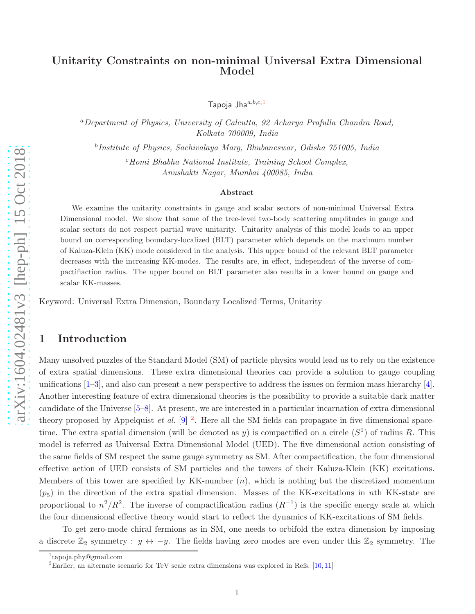## Unitarity Constraints on non-minimal Universal Extra Dimensional Model

Tapoja Jha $a,b,c,1$  $a,b,c,1$ 

<sup>a</sup>Department of Physics, University of Calcutta, 92 Acharya Prafulla Chandra Road, Kolkata 700009, India

b Institute of Physics, Sachivalaya Marg, Bhubaneswar, Odisha 751005, India

 $c$ Homi Bhabha National Institute, Training School Complex, Anushakti Nagar, Mumbai 400085, India

#### Abstract

We examine the unitarity constraints in gauge and scalar sectors of non-minimal Universal Extra Dimensional model. We show that some of the tree-level two-body scattering amplitudes in gauge and scalar sectors do not respect partial wave unitarity. Unitarity analysis of this model leads to an upper bound on corresponding boundary-localized (BLT) parameter which depends on the maximum number of Kaluza-Klein (KK) mode considered in the analysis. This upper bound of the relevant BLT parameter decreases with the increasing KK-modes. The results are, in effect, independent of the inverse of compactifiaction radius. The upper bound on BLT parameter also results in a lower bound on gauge and scalar KK-masses.

Keyword: Universal Extra Dimension, Boundary Localized Terms, Unitarity

#### 1 Introduction

Many unsolved puzzles of the Standard Model (SM) of particle physics would lead us to rely on the existence of extra spatial dimensions. These extra dimensional theories can provide a solution to gauge coupling unifications  $[1-3]$ , and also can present a new perspective to address the issues on fermion mass hierarchy [\[4\]](#page-36-2). Another interesting feature of extra dimensional theories is the possibility to provide a suitable dark matter candidate of the Universe [\[5](#page-36-3)[–8\]](#page-37-0). At present, we are interested in a particular incarnation of extra dimensional theory proposed by Appelquist *et al.* [\[9\]](#page-37-1) <sup>[2](#page-0-1)</sup>. Here all the SM fields can propagate in five dimensional spacetime. The extra spatial dimension (will be denoted as y) is compactified on a circle  $(S^1)$  of radius R. This model is referred as Universal Extra Dimensional Model (UED). The five dimensional action consisting of the same fields of SM respect the same gauge symmetry as SM. After compactification, the four dimensional effective action of UED consists of SM particles and the towers of their Kaluza-Klein (KK) excitations. Members of this tower are specified by KK-number  $(n)$ , which is nothing but the discretized momentum  $(p_5)$  in the direction of the extra spatial dimension. Masses of the KK-excitations in nth KK-state are proportional to  $n^2/R^2$ . The inverse of compactification radius  $(R^{-1})$  is the specific energy scale at which the four dimensional effective theory would start to reflect the dynamics of KK-excitations of SM fields.

To get zero-mode chiral fermions as in SM, one needs to orbifold the extra dimension by imposing a discrete  $\mathbb{Z}_2$  symmetry :  $y \leftrightarrow -y$ . The fields having zero modes are even under this  $\mathbb{Z}_2$  symmetry. The

<sup>1</sup> tapoja.phy@gmail.com

<span id="page-0-1"></span><span id="page-0-0"></span><sup>&</sup>lt;sup>2</sup>Earlier, an alternate scenario for TeV scale extra dimensions was explored in Refs.  $[10, 11]$  $[10, 11]$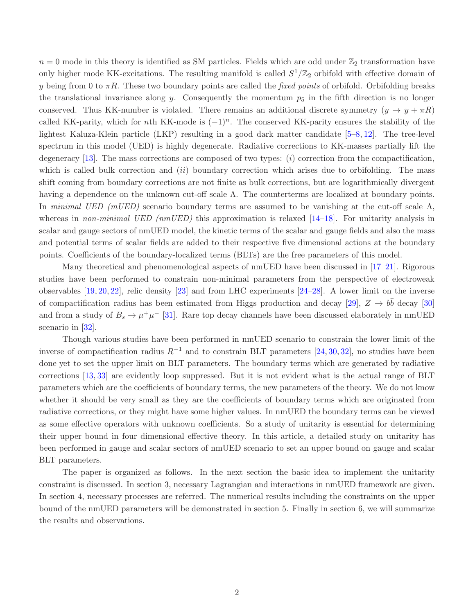$n = 0$  mode in this theory is identified as SM particles. Fields which are odd under  $\mathbb{Z}_2$  transformation have only higher mode KK-excitations. The resulting manifold is called  $S^1/\mathbb{Z}_2$  orbifold with effective domain of y being from 0 to  $\pi R$ . These two boundary points are called the *fixed points* of orbifold. Orbifolding breaks the translational invariance along y. Consequently the momentum  $p_5$  in the fifth direction is no longer conserved. Thus KK-number is violated. There remains an additional discrete symmetry  $(y \to y + \pi R)$ called KK-parity, which for nth KK-mode is  $(-1)^n$ . The conserved KK-parity ensures the stability of the lightest Kaluza-Klein particle (LKP) resulting in a good dark matter candidate [\[5–](#page-36-3)[8,](#page-37-0) [12\]](#page-37-4). The tree-level spectrum in this model (UED) is highly degenerate. Radiative corrections to KK-masses partially lift the degeneracy [\[13\]](#page-37-5). The mass corrections are composed of two types:  $(i)$  correction from the compactification, which is called bulk correction and *(ii)* boundary correction which arises due to orbifolding. The mass shift coming from boundary corrections are not finite as bulk corrections, but are logarithmically divergent having a dependence on the unknown cut-off scale Λ. The counterterms are localized at boundary points. In minimal UED (mUED) scenario boundary terms are assumed to be vanishing at the cut-off scale  $\Lambda$ , whereas in non-minimal UED (nmUED) this approximation is relaxed  $[14-18]$ . For unitarity analysis in scalar and gauge sectors of nmUED model, the kinetic terms of the scalar and gauge fields and also the mass and potential terms of scalar fields are added to their respective five dimensional actions at the boundary points. Coefficients of the boundary-localized terms (BLTs) are the free parameters of this model.

Many theoretical and phenomenological aspects of nmUED have been discussed in [\[17](#page-37-8)[–21\]](#page-37-9). Rigorous studies have been performed to constrain non-minimal parameters from the perspective of electroweak observables [\[19,](#page-37-10) [20,](#page-37-11) [22\]](#page-37-12), relic density [\[23\]](#page-37-13) and from LHC experiments [\[24](#page-38-0)[–28\]](#page-38-1). A lower limit on the inverse of compactification radius has been estimated from Higgs production and decay [\[29\]](#page-38-2),  $Z \to b\bar{b}$  decay [\[30\]](#page-38-3) and from a study of  $B_s \to \mu^+\mu^-$  [\[31\]](#page-38-4). Rare top decay channels have been discussed elaborately in nmUED scenario in [\[32\]](#page-38-5).

Though various studies have been performed in nmUED scenario to constrain the lower limit of the inverse of compactification radius  $R^{-1}$  and to constrain BLT parameters [\[24,](#page-38-0) [30,](#page-38-3) [32\]](#page-38-5), no studies have been done yet to set the upper limit on BLT parameters. The boundary terms which are generated by radiative corrections [\[13,](#page-37-5) [33\]](#page-38-6) are evidently loop suppressed. But it is not evident what is the actual range of BLT parameters which are the coefficients of boundary terms, the new parameters of the theory. We do not know whether it should be very small as they are the coefficients of boundary terms which are originated from radiative corrections, or they might have some higher values. In nmUED the boundary terms can be viewed as some effective operators with unknown coefficients. So a study of unitarity is essential for determining their upper bound in four dimensional effective theory. In this article, a detailed study on unitarity has been performed in gauge and scalar sectors of nmUED scenario to set an upper bound on gauge and scalar BLT parameters.

The paper is organized as follows. In the next section the basic idea to implement the unitarity constraint is discussed. In section 3, necessary Lagrangian and interactions in nmUED framework are given. In section 4, necessary processes are referred. The numerical results including the constraints on the upper bound of the nmUED parameters will be demonstrated in section 5. Finally in section 6, we will summarize the results and observations.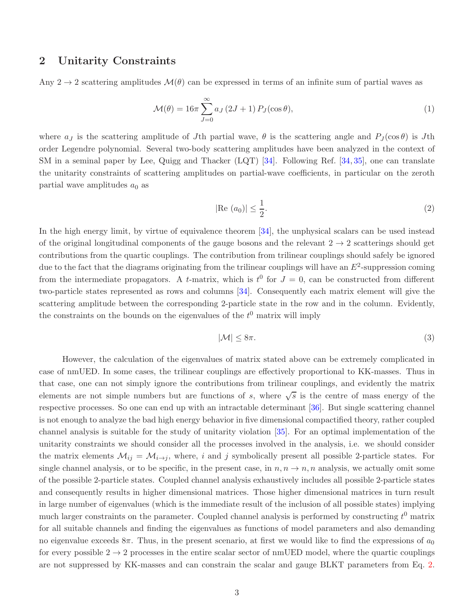### 2 Unitarity Constraints

Any 2  $\rightarrow$  2 scattering amplitudes  $\mathcal{M}(\theta)$  can be expressed in terms of an infinite sum of partial waves as

$$
\mathcal{M}(\theta) = 16\pi \sum_{J=0}^{\infty} a_J (2J+1) P_J(\cos \theta), \qquad (1)
$$

where  $a_J$  is the scattering amplitude of J<sup>th</sup> partial wave,  $\theta$  is the scattering angle and  $P_J(\cos \theta)$  is Jth order Legendre polynomial. Several two-body scattering amplitudes have been analyzed in the context of SM in a seminal paper by Lee, Quigg and Thacker (LQT) [\[34\]](#page-38-7). Following Ref. [\[34,](#page-38-7) [35\]](#page-38-8), one can translate the unitarity constraints of scattering amplitudes on partial-wave coefficients, in particular on the zeroth partial wave amplitudes  $a_0$  as

<span id="page-2-0"></span>
$$
|\text{Re}(a_0)| \le \frac{1}{2}.\tag{2}
$$

In the high energy limit, by virtue of equivalence theorem [\[34\]](#page-38-7), the unphysical scalars can be used instead of the original longitudinal components of the gauge bosons and the relevant  $2 \rightarrow 2$  scatterings should get contributions from the quartic couplings. The contribution from trilinear couplings should safely be ignored due to the fact that the diagrams originating from the trilinear couplings will have an  $E^2$ -suppression coming from the intermediate propagators. A t-matrix, which is  $t^0$  for  $J=0$ , can be constructed from different two-particle states represented as rows and columns [\[34\]](#page-38-7). Consequently each matrix element will give the scattering amplitude between the corresponding 2-particle state in the row and in the column. Evidently, the constraints on the bounds on the eigenvalues of the  $t^0$  matrix will imply

<span id="page-2-1"></span>
$$
|\mathcal{M}| \le 8\pi. \tag{3}
$$

However, the calculation of the eigenvalues of matrix stated above can be extremely complicated in case of nmUED. In some cases, the trilinear couplings are effectively proportional to KK-masses. Thus in that case, one can not simply ignore the contributions from trilinear couplings, and evidently the matrix elements are not simple numbers but are functions of s, where  $\sqrt{s}$  is the centre of mass energy of the respective processes. So one can end up with an intractable determinant [\[36\]](#page-38-9). But single scattering channel is not enough to analyze the bad high energy behavior in five dimensional compactified theory, rather coupled channel analysis is suitable for the study of unitarity violation [\[35\]](#page-38-8). For an optimal implementation of the unitarity constraints we should consider all the processes involved in the analysis, i.e. we should consider the matrix elements  $\mathcal{M}_{ij} = \mathcal{M}_{i \to j}$ , where, i and j symbolically present all possible 2-particle states. For single channel analysis, or to be specific, in the present case, in  $n, n \rightarrow n, n$  analysis, we actually omit some of the possible 2-particle states. Coupled channel analysis exhaustively includes all possible 2-particle states and consequently results in higher dimensional matrices. Those higher dimensional matrices in turn result in large number of eigenvalues (which is the immediate result of the inclusion of all possible states) implying much larger constraints on the parameter. Coupled channel analysis is performed by constructing  $t^0$  matrix for all suitable channels and finding the eigenvalues as functions of model parameters and also demanding no eigenvalue exceeds  $8\pi$ . Thus, in the present scenario, at first we would like to find the expressions of  $a_0$ for every possible  $2 \rightarrow 2$  processes in the entire scalar sector of nmUED model, where the quartic couplings are not suppressed by KK-masses and can constrain the scalar and gauge BLKT parameters from Eq. [2.](#page-2-0)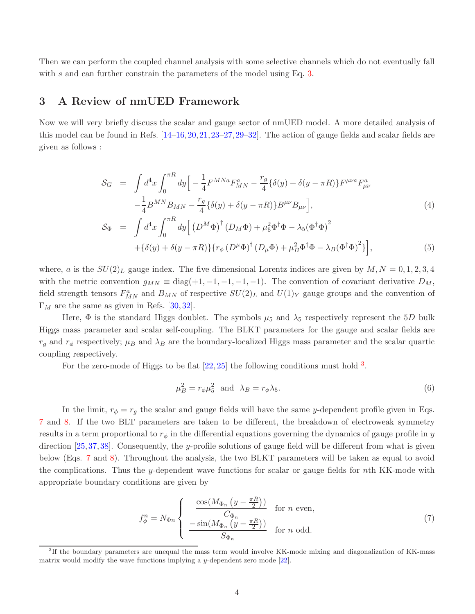Then we can perform the coupled channel analysis with some selective channels which do not eventually fall with s and can further constrain the parameters of the model using Eq.  $3$ .

### <span id="page-3-4"></span>3 A Review of nmUED Framework

Now we will very briefly discuss the scalar and gauge sector of nmUED model. A more detailed analysis of this model can be found in Refs. [\[14](#page-37-6)[–16,](#page-37-14)[20,](#page-37-11)[21,](#page-37-9)[23–](#page-37-13)[27,](#page-38-10)[29–](#page-38-2)[32\]](#page-38-5). The action of gauge fields and scalar fields are given as follows :

<span id="page-3-3"></span>
$$
S_G = \int d^4x \int_0^{\pi R} dy \Big[ -\frac{1}{4} F^{MNa} F_{MN}^a - \frac{r_g}{4} \{ \delta(y) + \delta(y - \pi R) \} F^{\mu\nu a} F_{\mu\nu}^a - \frac{1}{4} B^{MN} B_{MN} - \frac{r_g}{4} \{ \delta(y) + \delta(y - \pi R) \} B^{\mu\nu} B_{\mu\nu} \Big],
$$
  
\n
$$
S_{\Phi} = \int d^4x \int_0^{\pi R} dy \Big[ (D^M \Phi)^{\dagger} (D_M \Phi) + \mu_5^2 \Phi^{\dagger} \Phi - \lambda_5 (\Phi^{\dagger} \Phi)^2 + \{ \delta(y) + \delta(y - \pi R) \} \{ r_{\phi} (D^{\mu} \Phi)^{\dagger} (D_{\mu} \Phi) + \mu_B^2 \Phi^{\dagger} \Phi - \lambda_B (\Phi^{\dagger} \Phi)^2 \} \Big],
$$
  
\n(5)

where, a is the  $SU(2)_L$  gauge index. The five dimensional Lorentz indices are given by  $M, N = 0, 1, 2, 3, 4$ with the metric convention  $g_{MN} \equiv \text{diag}(+1, -1, -1, -1, -1)$ . The convention of covariant derivative  $D_M$ , field strength tensors  $F_{MN}^a$  and  $B_{MN}$  of respective  $SU(2)_L$  and  $U(1)_Y$  gauge groups and the convention of  $\Gamma_M$  are the same as given in Refs. [\[30,](#page-38-3) [32\]](#page-38-5).

Here,  $\Phi$  is the standard Higgs doublet. The symbols  $\mu_5$  and  $\lambda_5$  respectively represent the 5D bulk Higgs mass parameter and scalar self-coupling. The BLKT parameters for the gauge and scalar fields are  $r_g$  and  $r_\phi$  respectively;  $\mu_B$  and  $\lambda_B$  are the boundary-localized Higgs mass parameter and the scalar quartic coupling respectively.

For the zero-mode of Higgs to be flat  $[22, 25]$  $[22, 25]$  the following conditions must hold  $3$ .

<span id="page-3-2"></span>
$$
\mu_B^2 = r_\phi \mu_5^2 \text{ and } \lambda_B = r_\phi \lambda_5. \tag{6}
$$

In the limit,  $r_{\phi} = r_g$  the scalar and gauge fields will have the same y-dependent profile given in Eqs. [7](#page-3-1) and [8.](#page-4-0) If the two BLT parameters are taken to be different, the breakdown of electroweak symmetry results in a term proportional to  $r_{\phi}$  in the differential equations governing the dynamics of gauge profile in y direction [\[25,](#page-38-11)[37,](#page-38-12)[38\]](#page-38-13). Consequently, the y-profile solutions of gauge field will be different from what is given below (Eqs. [7](#page-3-1) and [8\)](#page-4-0). Throughout the analysis, the two BLKT parameters will be taken as equal to avoid the complications. Thus the y-dependent wave functions for scalar or gauge fields for nth KK-mode with appropriate boundary conditions are given by

<span id="page-3-1"></span>
$$
f_{\phi}^{n} = N_{\Phi n} \begin{cases} \frac{\cos(M_{\Phi_n} \left(y - \frac{\pi R}{2}\right))}{C_{\Phi_n}} & \text{for } n \text{ even,} \\ \frac{-\sin(M_{\Phi_n} \left(y - \frac{\pi R}{2}\right))}{S_{\Phi_n}} & \text{for } n \text{ odd.} \end{cases}
$$
(7)

<span id="page-3-0"></span><sup>&</sup>lt;sup>3</sup>If the boundary parameters are unequal the mass term would involve KK-mode mixing and diagonalization of KK-mass matrix would modify the wave functions implying a y-dependent zero mode [\[22\]](#page-37-12).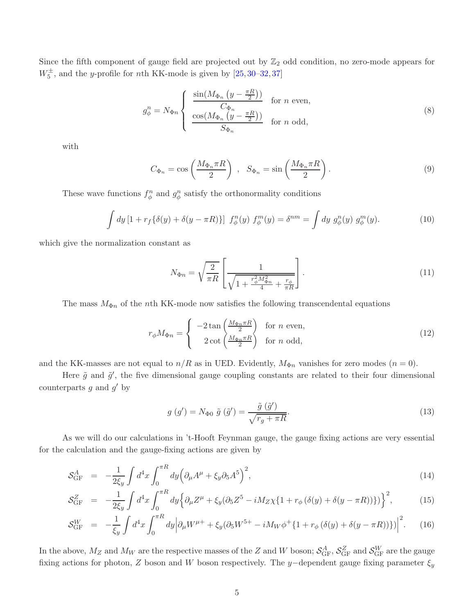Since the fifth component of gauge field are projected out by  $\mathbb{Z}_2$  odd condition, no zero-mode appears for  $W_5^{\pm}$ , and the *y*-profile for *n*th KK-mode is given by [\[25,](#page-38-11) [30–](#page-38-3)[32,](#page-38-5) [37\]](#page-38-12)

<span id="page-4-0"></span>
$$
g_{\phi}^{n} = N_{\Phi n} \begin{cases} \frac{\sin(M_{\Phi n} \left(y - \frac{\pi R}{2}\right))}{C_{\Phi n}} & \text{for } n \text{ even,} \\ \frac{\cos(M_{\Phi n} \left(y - \frac{\pi R}{2}\right))}{S_{\Phi n}} & \text{for } n \text{ odd,} \end{cases}
$$
(8)

with

$$
C_{\Phi_n} = \cos\left(\frac{M_{\Phi_n}\pi R}{2}\right) , \quad S_{\Phi_n} = \sin\left(\frac{M_{\Phi_n}\pi R}{2}\right). \tag{9}
$$

These wave functions  $f_{\phi}^n$  and  $g_{\phi}^n$  satisfy the orthonormality conditions

$$
\int dy \left[1 + r_f \{\delta(y) + \delta(y - \pi R)\}\right] f_{\phi}^n(y) f_{\phi}^m(y) = \delta^{nm} = \int dy g_{\phi}^n(y) g_{\phi}^m(y). \tag{10}
$$

which give the normalization constant as

$$
N_{\Phi n} = \sqrt{\frac{2}{\pi R}} \left[ \frac{1}{\sqrt{1 + \frac{r_{\phi}^2 M_{\Phi n}^2}{4} + \frac{r_{\phi}}{\pi R}}} \right].
$$
\n(11)

The mass  $M_{\Phi n}$  of the nth KK-mode now satisfies the following transcendental equations

$$
r_{\phi}M_{\Phi n} = \begin{cases} -2\tan\left(\frac{M_{\Phi n}\pi R}{2}\right) & \text{for } n \text{ even,} \\ 2\cot\left(\frac{M_{\Phi n}\pi R}{2}\right) & \text{for } n \text{ odd,} \end{cases}
$$
(12)

and the KK-masses are not equal to  $n/R$  as in UED. Evidently,  $M_{\Phi n}$  vanishes for zero modes  $(n = 0)$ .

Here  $\tilde{g}$  and  $\tilde{g}'$ , the five dimensional gauge coupling constants are related to their four dimensional counterparts  $g$  and  $g'$  by

<span id="page-4-1"></span>
$$
g(g') = N_{\Phi 0} \tilde{g}(\tilde{g}') = \frac{\tilde{g}(\tilde{g}')}{\sqrt{r_g + \pi R}}.
$$
\n(13)

As we will do our calculations in 't-Hooft Feynman gauge, the gauge fixing actions are very essential for the calculation and the gauge-fixing actions are given by

$$
\mathcal{S}_{GF}^{A} = -\frac{1}{2\xi_y} \int d^4x \int_0^{\pi R} dy \Big( \partial_{\mu} A^{\mu} + \xi_y \partial_5 A^5 \Big)^2, \tag{14}
$$

$$
\mathcal{S}_{GF}^{Z} = -\frac{1}{2\xi_y} \int d^4x \int_0^{\pi R} dy \Big\{ \partial_{\mu} Z^{\mu} + \xi_y (\partial_5 Z^5 - iM_Z \chi \{ 1 + r_{\phi} (\delta(y) + \delta(y - \pi R)) \} ) \Big\}^2, \tag{15}
$$

$$
\mathcal{S}_{GF}^{W} = -\frac{1}{\xi_{y}} \int d^{4}x \int_{0}^{\pi R} dy \Big| \partial_{\mu} W^{\mu+} + \xi_{y} (\partial_{5} W^{5+} - i M_{W} \phi^{+} \{1 + r_{\phi} (\delta(y) + \delta(y - \pi R))\}) \Big|^{2}.
$$
 (16)

In the above,  $M_Z$  and  $M_W$  are the respective masses of the Z and W boson;  $S_{GF}^A$ ,  $S_{GF}^Z$  and  $S_{GF}^W$  are the gauge fixing actions for photon, Z boson and W boson respectively. The y-dependent gauge fixing parameter  $\xi_y$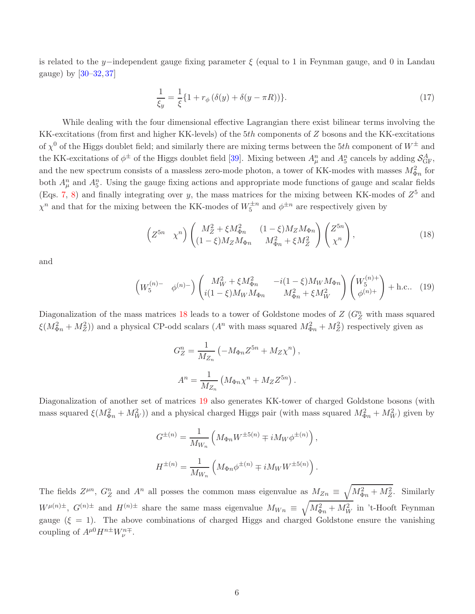is related to the y-independent gauge fixing parameter  $\xi$  (equal to 1 in Feynman gauge, and 0 in Landau gauge) by [\[30–](#page-38-3)[32,](#page-38-5) [37\]](#page-38-12)

$$
\frac{1}{\xi_y} = \frac{1}{\xi} \{ 1 + r_{\phi} (\delta(y) + \delta(y - \pi R)) \}.
$$
 (17)

While dealing with the four dimensional effective Lagrangian there exist bilinear terms involving the KK-excitations (from first and higher KK-levels) of the 5th components of Z bosons and the KK-excitations of  $\chi^0$  of the Higgs doublet field; and similarly there are mixing terms between the 5th component of  $W^{\pm}$  and the KK-excitations of  $\phi^{\pm}$  of the Higgs doublet field [\[39\]](#page-38-14). Mixing between  $A_{\mu}^{n}$  and  $A_{5}^{n}$  cancels by adding  $\mathcal{S}_{GF}^{A}$ , and the new spectrum consists of a massless zero-mode photon, a tower of KK-modes with masses  $M_{\Phi n}^2$  for both  $A_{\mu}^{n}$  and  $A_{5}^{n}$ . Using the gauge fixing actions and appropriate mode functions of gauge and scalar fields (Eqs. [7,](#page-3-1) [8\)](#page-4-0) and finally integrating over y, the mass matrices for the mixing between KK-modes of  $Z^5$  and  $\chi^n$  and that for the mixing between the KK-modes of  $W_5^{\pm n}$  and  $\phi^{\pm n}$  are respectively given by

<span id="page-5-0"></span>
$$
\left(Z^{5n} \chi^n\right) \begin{pmatrix} M_Z^2 + \xi M_{\Phi n}^2 & (1-\xi) M_Z M_{\Phi n} \\ (1-\xi) M_Z M_{\Phi n} & M_{\Phi n}^2 + \xi M_Z^2 \end{pmatrix} \begin{pmatrix} Z^{5n} \\ \chi^n \end{pmatrix},\tag{18}
$$

<span id="page-5-1"></span>and

$$
\begin{pmatrix} W_5^{(n)-} & \phi^{(n)-} \end{pmatrix} \begin{pmatrix} M_W^2 + \xi M_{\Phi n}^2 & -i(1-\xi)M_W M_{\Phi n} \\ i(1-\xi)M_W M_{\Phi n} & M_{\Phi n}^2 + \xi M_W^2 \end{pmatrix} \begin{pmatrix} W_5^{(n)+} \\ \phi^{(n)+} \end{pmatrix} + \text{h.c.} \quad (19)
$$

Diagonalization of the mass matrices [18](#page-5-0) leads to a tower of Goldstone modes of  $Z(G_Z^n)$  with mass squared  $\xi(M_{\Phi n}^2 + M_Z^2)$  and a physical CP-odd scalars  $(A^n$  with mass squared  $M_{\Phi n}^2 + M_Z^2$  respectively given as

$$
G_Z^n = \frac{1}{M_{Z_n}} \left( -M_{\Phi n} Z^{5n} + M_Z \chi^n \right),
$$
  

$$
A^n = \frac{1}{M_{Z_n}} \left( M_{\Phi n} \chi^n + M_Z Z^{5n} \right).
$$

Diagonalization of another set of matrices [19](#page-5-1) also generates KK-tower of charged Goldstone bosons (with mass squared  $\xi(M_{\Phi n}^2 + M_W^2)$  and a physical charged Higgs pair (with mass squared  $M_{\Phi n}^2 + M_W^2$ ) given by

$$
G^{\pm(n)} = \frac{1}{M_{W_n}} \left( M_{\Phi n} W^{\pm 5(n)} \mp i M_W \phi^{\pm(n)} \right),
$$
  

$$
H^{\pm(n)} = \frac{1}{M_{W_n}} \left( M_{\Phi n} \phi^{\pm(n)} \mp i M_W W^{\pm 5(n)} \right).
$$

The fields  $Z^{\mu n}$ ,  $G_Z^n$  and  $A^n$  all posses the common mass eigenvalue as  $M_{Zn} \equiv \sqrt{M_{\Phi n}^2 + M_Z^2}$ . Similarly  $W^{\mu(n)\pm}$ ,  $G^{(n)\pm}$  and  $H^{(n)\pm}$  share the same mass eigenvalue  $M_{Wn} \equiv \sqrt{M_{\Phi n}^2 + M_W^2}$  in 't-Hooft Feynman gauge  $(\xi = 1)$ . The above combinations of charged Higgs and charged Goldstone ensure the vanishing coupling of  $A^{\mu 0}H^{n\pm}W^{n\mp}_{\nu}$ .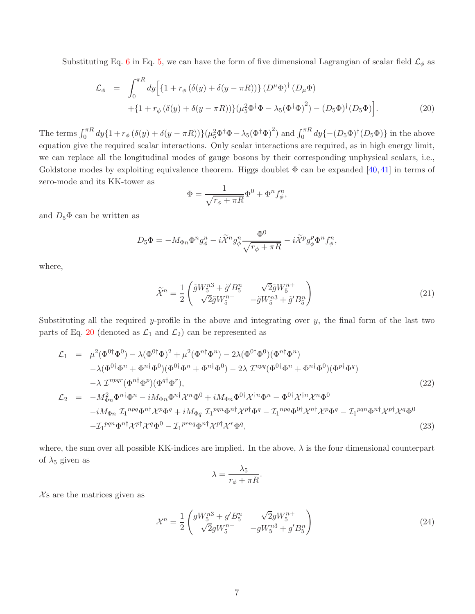Substituting Eq. [6](#page-3-2) in Eq. [5,](#page-3-3) we can have the form of five dimensional Lagrangian of scalar field  $\mathcal{L}_{\phi}$  as

<span id="page-6-0"></span>
$$
\mathcal{L}_{\phi} = \int_{0}^{\pi R} dy \Big[ \{ 1 + r_{\phi} (\delta(y) + \delta(y - \pi R)) \} (D^{\mu} \Phi)^{\dagger} (D_{\mu} \Phi) + \{ 1 + r_{\phi} (\delta(y) + \delta(y - \pi R)) \} (\mu_{5}^{2} \Phi^{\dagger} \Phi - \lambda_{5} (\Phi^{\dagger} \Phi)^{2}) - (D_{5} \Phi)^{\dagger} (D_{5} \Phi) \Big].
$$
\n(20)

The terms  $\int_0^{\pi R} dy \{1 + r_\phi (\delta(y) + \delta(y - \pi R))\} (\mu_5^2 \Phi^\dagger \Phi - \lambda_5 (\Phi^\dagger \Phi)^2)$  and  $\int_0^{\pi R} dy \{-(D_5 \Phi)^\dagger (D_5 \Phi)\}\$  in the above equation give the required scalar interactions. Only scalar interactions are required, as in high energy limit, we can replace all the longitudinal modes of gauge bosons by their corresponding unphysical scalars, i.e., Goldstone modes by exploiting equivalence theorem. Higgs doublet  $\Phi$  can be expanded [\[40,](#page-39-0)[41\]](#page-39-1) in terms of zero-mode and its KK-tower as

$$
\Phi = \frac{1}{\sqrt{r_{\phi} + \pi R}} \Phi^0 + \Phi^n f_{\phi}^n,
$$

and  $D_5\Phi$  can be written as

$$
D_5\Phi = -M_{\Phi n}\Phi^n g^n_\phi - i\widetilde{\mathcal{X}}^n g^n_\phi \frac{\Phi^0}{\sqrt{r_\phi + \pi R}} - i\widetilde{\mathcal{X}}^p g^n_\phi \Phi^n f^n_\phi,
$$

where,

$$
\widetilde{\mathcal{X}}^n = \frac{1}{2} \begin{pmatrix} \widetilde{g}W_5^{n3} + \widetilde{g}'B_5^n & \sqrt{2}\widetilde{g}W_5^{n+} \\ \sqrt{2}\widetilde{g}W_5^{n-} & -\widetilde{g}W_5^{n3} + \widetilde{g}'B_5^n \end{pmatrix}
$$
\n(21)

Substituting all the required y-profile in the above and integrating over  $y$ , the final form of the last two parts of Eq. [20](#page-6-0) (denoted as  $\mathcal{L}_1$  and  $\mathcal{L}_2$ ) can be represented as

<span id="page-6-1"></span>
$$
\mathcal{L}_{1} = \mu^{2}(\Phi^{0\dagger}\Phi^{0}) - \lambda(\Phi^{0\dagger}\Phi)^{2} + \mu^{2}(\Phi^{n\dagger}\Phi^{n}) - 2\lambda(\Phi^{0\dagger}\Phi^{0})(\Phi^{n\dagger}\Phi^{n}) \n- \lambda(\Phi^{0\dagger}\Phi^{n} + \Phi^{n\dagger}\Phi^{0})(\Phi^{0\dagger}\Phi^{n} + \Phi^{n\dagger}\Phi^{0}) - 2\lambda \mathcal{I}^{npq}(\Phi^{0\dagger}\Phi^{n} + \Phi^{n\dagger}\Phi^{0})(\Phi^{p\dagger}\Phi^{q}) \n- \lambda \mathcal{I}^{npqr}(\Phi^{n\dagger}\Phi^{p})(\Phi^{q\dagger}\Phi^{r}), \n\mathcal{L}_{2} = -M_{\Phi n}^{2}\Phi^{n\dagger}\Phi^{n} - iM_{\Phi n}\Phi^{n\dagger}\mathcal{X}^{n}\Phi^{0} + iM_{\Phi n}\Phi^{0\dagger}\mathcal{X}^{\dagger n}\Phi^{n} - \Phi^{0\dagger}\mathcal{X}^{\dagger n}\mathcal{X}^{n}\Phi^{0} \n- iM_{\Phi n} \mathcal{I}_{1}^{npq}\Phi^{n\dagger}\mathcal{X}^{p}\Phi^{q} + iM_{\Phi q} \mathcal{I}_{1}^{pqn}\Phi^{n\dagger}\mathcal{X}^{p\dagger}\Phi^{q} - \mathcal{I}_{1}^{npq}\Phi^{0\dagger}\mathcal{X}^{n\dagger}\mathcal{X}^{p}\Phi^{q} - \mathcal{I}_{1}^{pqn}\Phi^{n\dagger}\mathcal{X}^{p\dagger}\mathcal{X}^{q}\Phi^{0}
$$
\n
$$
- \mathcal{I}_{1}^{pqn}\Phi^{n\dagger}\mathcal{X}^{p\dagger}\mathcal{X}^{q}\Phi^{0} - \mathcal{I}_{1}^{prnq}\Phi^{n\dagger}\mathcal{X}^{p\dagger}\mathcal{X}^{r}\Phi^{q},
$$
\n(23)

where, the sum over all possible KK-indices are implied. In the above,  $\lambda$  is the four dimensional counterpart of  $\lambda_5$  given as

$$
\lambda = \frac{\lambda_5}{r_{\phi} + \pi R}.
$$

 $X_s$  are the matrices given as

$$
\mathcal{X}^n = \frac{1}{2} \begin{pmatrix} gW_5^{n3} + g'B_5^n & \sqrt{2}gW_5^{n+} \\ \sqrt{2}gW_5^{n-} & -gW_5^{n3} + g'B_5^n \end{pmatrix}
$$
 (24)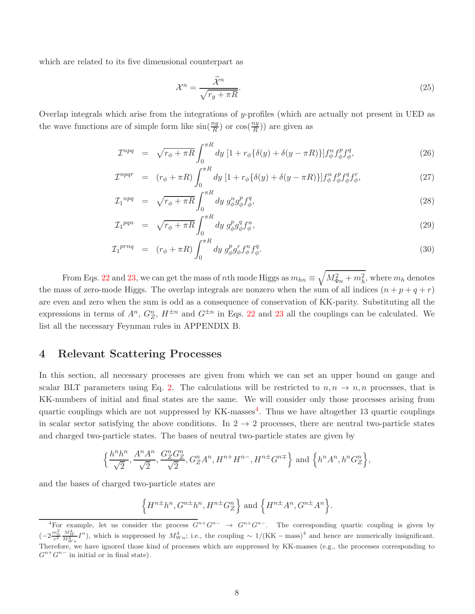which are related to its five dimensional counterpart as

$$
\mathcal{X}^n = \frac{\widetilde{\mathcal{X}}^n}{\sqrt{r_g + \pi R}}.\tag{25}
$$

Overlap integrals which arise from the integrations of y-profiles (which are actually not present in UED as the wave functions are of simple form like  $\sin(\frac{ny}{R})$  or  $\cos(\frac{ny}{R})$  are given as

<span id="page-7-1"></span>
$$
\mathcal{I}^{npq} = \sqrt{r_{\phi} + \pi R} \int_0^{\pi R} dy \left[ 1 + r_{\phi} \{ \delta(y) + \delta(y - \pi R) \} \right] f_{\phi}^n f_{\phi}^p f_{\phi}^q, \tag{26}
$$

$$
\mathcal{I}^{npqr} = (r_{\phi} + \pi R) \int_0^{\pi R} dy \left[ 1 + r_{\phi} \{ \delta(y) + \delta(y - \pi R) \} \right] f_{\phi}^n f_{\phi}^p f_{\phi}^q f_{\phi}^r,\tag{27}
$$

$$
\mathcal{I}_1^{npq} = \sqrt{r_{\phi} + \pi R} \int_0^{\pi R} dy \ g_{\phi}^n g_{\phi}^p f_{\phi}^q,
$$
\n(28)

$$
\mathcal{I}_1^{pqn} = \sqrt{r_{\phi} + \pi R} \int_0^{\pi R} dy \ g_{\phi}^p g_{\phi}^q f_{\phi}^n, \tag{29}
$$

$$
\mathcal{I}_1^{prnq} = (r_\phi + \pi R) \int_0^{\pi R} dy \, g^p_\phi g^r_\phi f^n_\phi f^q_\phi. \tag{30}
$$

From Eqs. [22](#page-6-1) and [23,](#page-6-1) we can get the mass of nth mode Higgs as  $m_{hn} \equiv \sqrt{M_{\Phi n}^2 + m_h^2}$ , where  $m_h$  denotes the mass of zero-mode Higgs. The overlap integrals are nonzero when the sum of all indices  $(n + p + q + r)$ are even and zero when the sum is odd as a consequence of conservation of KK-parity. Substituting all the expressions in terms of  $A^n$ ,  $G_Z^n$ ,  $H^{\pm n}$  and  $G^{\pm n}$  in Eqs. [22](#page-6-1) and [23](#page-6-1) all the couplings can be calculated. We list all the necessary Feynman rules in APPENDIX B.

### 4 Relevant Scattering Processes

In this section, all necessary processes are given from which we can set an upper bound on gauge and scalar BLT parameters using Eq. [2.](#page-2-0) The calculations will be restricted to  $n, n \to n, n$  processes, that is KK-numbers of initial and final states are the same. We will consider only those processes arising from quartic couplings which are not suppressed by  $KK$ -masses<sup>[4](#page-7-0)</sup>. Thus we have altogether 13 quartic couplings in scalar sector satisfying the above conditions. In  $2 \rightarrow 2$  processes, there are neutral two-particle states and charged two-particle states. The bases of neutral two-particle states are given by

$$
\left\{\frac{h^n h^n}{\sqrt{2}}, \frac{A^n A^n}{\sqrt{2}}, \frac{G_Z^n G_Z^n}{\sqrt{2}}, G_Z^n A^n, H^{n+} H^{n-}, H^{n\pm} G^{n\mp}\right\} \text{ and } \left\{h^n A^n, h^n G_Z^n\right\},\
$$

and the bases of charged two-particle states are

$$
\Big\{H^{n\pm}h^n,G^{n\pm}h^n,H^{n\pm}G_Z^n\Big\}\text{ and }\Big\{H^{n\pm}A^n,G^{n\pm}A^n\Big\}.
$$

<span id="page-7-0"></span><sup>&</sup>lt;sup>4</sup>For example, let us consider the process  $G^{n+}G^{n-} \to G^{n+}G^{n-}$ . The corresponding quartic coupling is given by  $\left(-2\frac{m_h^2}{v^2}\frac{M_W^4}{M_W^4}\right)$  $\frac{M_W^4}{M_{Wn}^4}I^n$ , which is suppressed by  $M_{Wn}^4$ ; i.e., the coupling ~ 1/(KK – mass)<sup>4</sup> and hence are numerically insignificant. Therefore, we have ignored those kind of processes which are suppressed by KK-masses (e.g., the processes corresponding to  $G^{n+}G^{n-}$  in initial or in final state).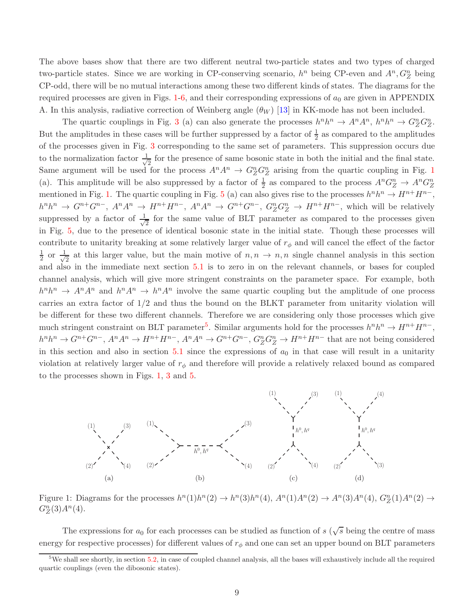The above bases show that there are two different neutral two-particle states and two types of charged two-particle states. Since we are working in CP-conserving scenario,  $h^n$  being CP-even and  $A^n$ ,  $G_Z^n$  being CP-odd, there will be no mutual interactions among these two different kinds of states. The diagrams for the required processes are given in Figs.  $1-6$  $1-6$ , and their corresponding expressions of  $a_0$  are given in APPENDIX A. In this analysis, radiative correction of Weinberg angle  $(\theta_W)$  [\[13\]](#page-37-5) in KK-mode has not been included.

The quartic couplings in Fig. [3](#page-9-0) (a) can also generate the processes  $h^n h^n \to A^n A^n$ ,  $h^n h^n \to G_Z^n G_Z^n$ . But the amplitudes in these cases will be further suppressed by a factor of  $\frac{1}{2}$  as compared to the amplitudes of the processes given in Fig. [3](#page-9-0) corresponding to the same set of parameters. This suppression occurs due to the normalization factor  $\frac{1}{\sqrt{2}}$  $\frac{1}{2}$  for the presence of same bosonic state in both the initial and the final state. Same argument will be used for the process  $A^n A^n \to G_Z^n G_Z^n$  arising from the quartic coupling in Fig. [1](#page-8-0) (a). This amplitude will be also suppressed by a factor of  $\frac{1}{2}$  as compared to the process  $A^n G_Z^n \to A^n G_Z^n$ mentioned in Fig. [1.](#page-8-0) The quartic coupling in Fig. [5](#page-9-1) (a) can also gives rise to the processes  $h^n h^n \to H^{n+} H^{n-}$ ,  $h^n h^n \to G^{n+} G^{n-}$ ,  $A^n A^n \to H^{n+} H^{n-}$ ,  $A^n A^n \to G^{n+} G^{n-}$ ,  $G_Z^n G_Z^n \to H^{n+} H^{n-}$ , which will be relatively suppressed by a factor of  $\frac{1}{\sqrt{2}}$  $\frac{1}{2}$  for the same value of BLT parameter as compared to the processes given in Fig. [5,](#page-9-1) due to the presence of identical bosonic state in the initial state. Though these processes will contribute to unitarity breaking at some relatively larger value of  $r_{\phi}$  and will cancel the effect of the factor 1  $rac{1}{2}$  or  $rac{1}{\sqrt{2}}$  $\frac{1}{2}$  at this larger value, but the main motive of  $n, n \to n, n$  single channel analysis in this section and also in the immediate next section [5.1](#page-10-1) is to zero in on the relevant channels, or bases for coupled channel analysis, which will give more stringent constraints on the parameter space. For example, both  $h^n h^n \to A^n A^n$  and  $h^n A^n \to h^n A^n$  involve the same quartic coupling but the amplitude of one process carries an extra factor of 1/2 and thus the bound on the BLKT parameter from unitarity violation will be different for these two different channels. Therefore we are considering only those processes which give much stringent constraint on BLT parameter<sup>[5](#page-8-1)</sup>. Similar arguments hold for the processes  $h^n h^n \to H^{n+} H^{n-}$ ,  $h^n h^n \to G^{n+} G^{n-}$ ,  $A^n A^n \to H^{n+} H^{n-}$ ,  $A^n A^n \to G^{n+} G^{n-}$ ,  $G_Z^n G_Z^n \to H^{n+} H^{n-}$  that are not being considered in this section and also in section  $5.1$  since the expressions of  $a_0$  in that case will result in a unitarity violation at relatively larger value of  $r_{\phi}$  and therefore will provide a relatively relaxed bound as compared to the processes shown in Figs. [1,](#page-8-0) [3](#page-9-0) and [5.](#page-9-1)



<span id="page-8-0"></span>Figure 1: Diagrams for the processes  $h^n(1)h^n(2) \to h^n(3)h^n(4)$ ,  $A^n(1)A^n(2) \to A^n(3)A^n(4)$ ,  $G_Z^n(1)A^n(2) \to$  $G_Z^n(3)A^n(4)$ .

The expressions for  $a_0$  for each processes can be studied as function of s ( $\sqrt{s}$  being the centre of mass energy for respective processes) for different values of  $r_{\phi}$  and one can set an upper bound on BLT parameters

<span id="page-8-1"></span> $5$ We shall see shortly, in section [5.2,](#page-15-0) in case of coupled channel analysis, all the bases will exhaustively include all the required quartic couplings (even the dibosonic states).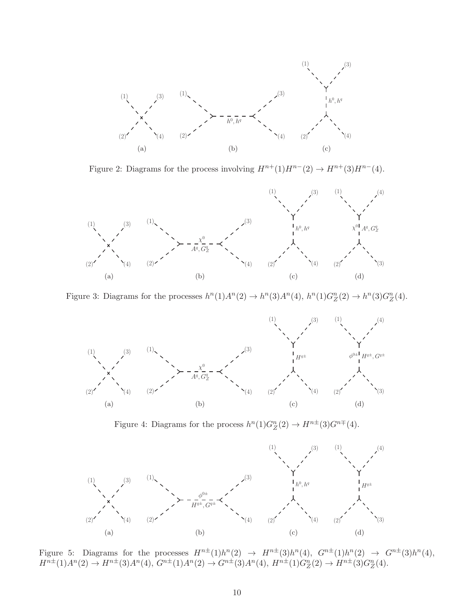

Figure 2: Diagrams for the process involving  $H^{n+}(1)H^{n-}(2) \to H^{n+}(3)H^{n-}(4)$ .



Figure 3: Diagrams for the processes  $h^n(1)A^n(2) \to h^n(3)A^n(4)$ ,  $h^n(1)G_Z^n(2) \to h^n(3)G_Z^n(4)$ .

<span id="page-9-0"></span>

Figure 4: Diagrams for the process  $h^n(1)G_Z^n(2) \to H^{n\pm}(3)G^{n\mp}(4)$ .



<span id="page-9-1"></span>Figure 5: Diagrams for the processes  $H^{n\pm}(1)h^n(2) \rightarrow H^{n\pm}(3)h^n(4)$ ,  $G^{n\pm}(1)h^n(2) \rightarrow G^{n\pm}(3)h^n(4)$ ,  $H^{n\pm}(1)A^n(2) \to H^{n\pm}(3)A^n(4), G^{n\pm}(1)A^n(2) \to G^{n\pm}(3)A^n(4), H^{n\pm}(1)G_Z^n(2) \to H^{n\pm}(3)G_Z^n(4).$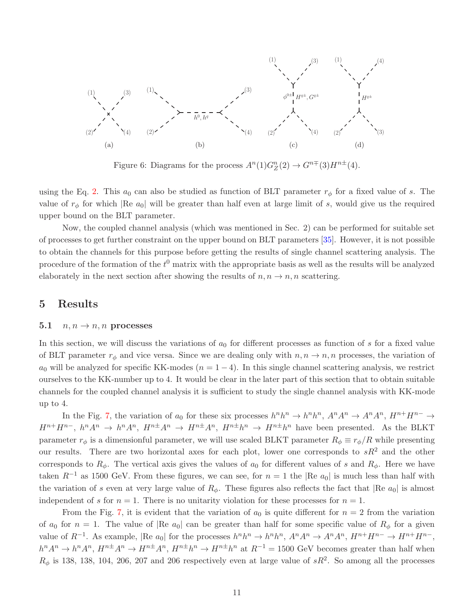

<span id="page-10-0"></span>Figure 6: Diagrams for the process  $A<sup>n</sup>(1)G<sub>Z</sub><sup>n</sup>(2) \rightarrow G<sup>n</sup><sup>\mp</sup>(3)H<sup>n±</sup>(4)$ .

using the Eq. [2.](#page-2-0) This  $a_0$  can also be studied as function of BLT parameter  $r_\phi$  for a fixed value of s. The value of  $r_{\phi}$  for which |Re  $a_0$ | will be greater than half even at large limit of s, would give us the required upper bound on the BLT parameter.

Now, the coupled channel analysis (which was mentioned in Sec. 2) can be performed for suitable set of processes to get further constraint on the upper bound on BLT parameters [\[35\]](#page-38-8). However, it is not possible to obtain the channels for this purpose before getting the results of single channel scattering analysis. The procedure of the formation of the  $t^0$  matrix with the appropriate basis as well as the results will be analyzed elaborately in the next section after showing the results of  $n, n \rightarrow n, n$  scattering.

#### <span id="page-10-1"></span>5 Results

#### 5.1  $n, n \rightarrow n, n$  processes

In this section, we will discuss the variations of  $a_0$  for different processes as function of s for a fixed value of BLT parameter  $r_{\phi}$  and vice versa. Since we are dealing only with  $n, n \to n, n$  processes, the variation of  $a_0$  will be analyzed for specific KK-modes  $(n = 1 - 4)$ . In this single channel scattering analysis, we restrict ourselves to the KK-number up to 4. It would be clear in the later part of this section that to obtain suitable channels for the coupled channel analysis it is sufficient to study the single channel analysis with KK-mode up to 4.

In the Fig. [7,](#page-12-0) the variation of  $a_0$  for these six processes  $h^n h^n \to h^n h^n$ ,  $A^n A^n \to A^n A^n$ ,  $H^{n+} H^{n-} \to$  $H^{n+}H^{n-}$ ,  $h^nA^n \to h^nA^n$ ,  $H^{n+}A^n \to H^{n+}A^n$ ,  $H^{n+}h^n \to H^{n+}h^n$  have been presented. As the BLKT parameter  $r_{\phi}$  is a dimensionful parameter, we will use scaled BLKT parameter  $R_{\phi} \equiv r_{\phi}/R$  while presenting our results. There are two horizontal axes for each plot, lower one corresponds to  $sR^2$  and the other corresponds to  $R_{\phi}$ . The vertical axis gives the values of  $a_0$  for different values of s and  $R_{\phi}$ . Here we have taken  $R^{-1}$  as 1500 GeV. From these figures, we can see, for  $n = 1$  the |Re  $a_0$ | is much less than half with the variation of s even at very large value of  $R_{\phi}$ . These figures also reflects the fact that  $|Re a_0|$  is almost independent of s for  $n = 1$ . There is no unitarity violation for these processes for  $n = 1$ .

From the Fig. [7,](#page-12-0) it is evident that the variation of  $a_0$  is quite different for  $n = 2$  from the variation of  $a_0$  for  $n = 1$ . The value of |Re  $a_0$ | can be greater than half for some specific value of  $R_\phi$  for a given value of  $R^{-1}$ . As example,  $|\text{Re } a_0|$  for the processes  $h^n h^n \to h^n h^n$ ,  $A^n A^n \to A^n A^n$ ,  $H^{n+} H^{n-} \to H^{n+} H^{n-}$ ,  $h^n A^n \to h^n A^n$ ,  $H^{n\pm} A^n \to H^{n\pm} A^n$ ,  $H^{n\pm} h^n \to H^{n\pm} h^n$  at  $R^{-1} = 1500$  GeV becomes greater than half when  $R_{\phi}$  is 138, 138, 104, 206, 207 and 206 respectively even at large value of  $sR^2$ . So among all the processes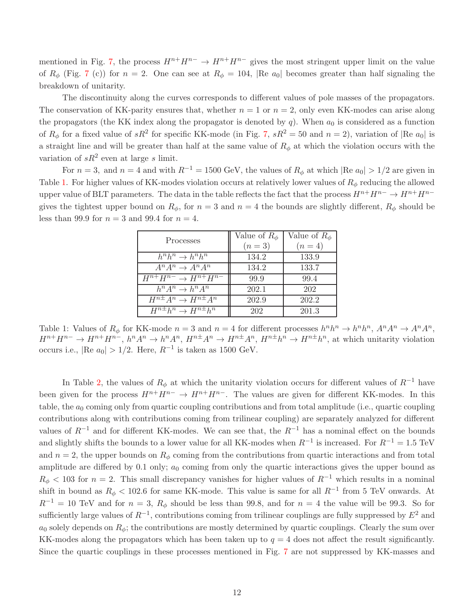mentioned in Fig. [7,](#page-12-0) the process  $H^{n+}H^{n-} \to H^{n+}H^{n-}$  gives the most stringent upper limit on the value of  $R_{\phi}$  (Fig. [7](#page-12-0) (c)) for  $n = 2$ . One can see at  $R_{\phi} = 104$ , |Re  $a_0$ | becomes greater than half signaling the breakdown of unitarity.

The discontinuity along the curves corresponds to different values of pole masses of the propagators. The conservation of KK-parity ensures that, whether  $n = 1$  or  $n = 2$ , only even KK-modes can arise along the propagators (the KK index along the propagator is denoted by q). When  $a_0$  is considered as a function of  $R_{\phi}$  for a fixed value of  $sR^2$  for specific KK-mode (in Fig. [7,](#page-12-0)  $sR^2 = 50$  and  $n = 2$ ), variation of  $|Re a_0|$  is a straight line and will be greater than half at the same value of  $R_{\phi}$  at which the violation occurs with the variation of  $sR^2$  even at large s limit.

For  $n = 3$ , and  $n = 4$  and with  $R^{-1} = 1500$  GeV, the values of  $R_{\phi}$  at which  $|Re\ a_0| > 1/2$  are given in Table [1.](#page-11-0) For higher values of KK-modes violation occurs at relatively lower values of  $R_{\phi}$  reducing the allowed upper value of BLT parameters. The data in the table reflects the fact that the process  $H^{n+}H^{n-} \to H^{n+}H^{n-}$ gives the tightest upper bound on  $R_{\phi}$ , for  $n = 3$  and  $n = 4$  the bounds are slightly different,  $R_{\phi}$  should be less than 99.9 for  $n = 3$  and 99.4 for  $n = 4$ .

| Processes                       | Value of $R_{\phi}$ | Value of $R_{\phi}$ |
|---------------------------------|---------------------|---------------------|
|                                 | $(n=3)$             | $(n = 4)$           |
| $h^n h^n \to h^n h^n$           | 134.2               | 133.9               |
| $A^n A^n \rightarrow A^n A^n$   | 134.2               | 133.7               |
| $H^{n+}H^{n-} \to H^{n+}H^{n-}$ | 99.9                | 99.4                |
| $h^n A^n \to h^n A^n$           | 202.1               | 202                 |
| $H^{n\pm}A^n \to H^{n\pm}A^n$   | 202.9               | 202.2               |
| $H^{n\pm}h^n \to H^{n\pm}h^n$   | 202                 | 201.3               |

<span id="page-11-0"></span>Table 1: Values of  $R_{\phi}$  for KK-mode  $n = 3$  and  $n = 4$  for different processes  $h^n h^n \to h^n h^n$ ,  $A^n A^n \to A^n A^n$ ,  $H^{n+}H^{n-} \to H^{n+}H^{n-}$ ,  $h^n A^n \to h^n A^n$ ,  $H^{n+}A^n \to H^{n+}A^n$ ,  $H^{n+}h^n \to H^{n+}h^n$ , at which unitarity violation occurs i.e.,  $|\text{Re } a_0| > 1/2$ . Here,  $R^{-1}$  is taken as 1500 GeV.

In Table [2,](#page-13-0) the values of  $R_{\phi}$  at which the unitarity violation occurs for different values of  $R^{-1}$  have been given for the process  $H^{n+}H^{n-} \to H^{n+}H^{n-}$ . The values are given for different KK-modes. In this table, the  $a_0$  coming only from quartic coupling contributions and from total amplitude (i.e., quartic coupling contributions along with contributions coming from trilinear coupling) are separately analyzed for different values of  $R^{-1}$  and for different KK-modes. We can see that, the  $R^{-1}$  has a nominal effect on the bounds and slightly shifts the bounds to a lower value for all KK-modes when  $R^{-1}$  is increased. For  $R^{-1} = 1.5$  TeV and  $n = 2$ , the upper bounds on  $R_{\phi}$  coming from the contributions from quartic interactions and from total amplitude are differed by  $0.1$  only;  $a_0$  coming from only the quartic interactions gives the upper bound as  $R_{\phi}$  < 103 for  $n = 2$ . This small discrepancy vanishes for higher values of  $R^{-1}$  which results in a nominal shift in bound as  $R_{\phi}$  < 102.6 for same KK-mode. This value is same for all  $R^{-1}$  from 5 TeV onwards. At  $R^{-1} = 10$  TeV and for  $n = 3$ ,  $R_{\phi}$  should be less than 99.8, and for  $n = 4$  the value will be 99.3. So for sufficiently large values of  $R^{-1}$ , contributions coming from trilinear couplings are fully suppressed by  $E^2$  and  $a_0$  solely depends on  $R_{\phi}$ ; the contributions are mostly determined by quartic couplings. Clearly the sum over KK-modes along the propagators which has been taken up to  $q = 4$  does not affect the result significantly. Since the quartic couplings in these processes mentioned in Fig. [7](#page-12-0) are not suppressed by KK-masses and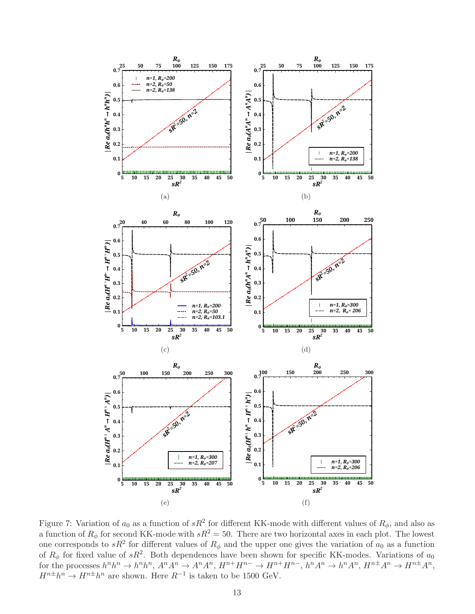

<span id="page-12-0"></span>Figure 7: Variation of  $a_0$  as a function of  $sR^2$  for different KK-mode with different values of  $R_\phi$ , and also as a function of  $R_{\phi}$  for second KK-mode with  $sR^2 = 50$ . There are two horizontal axes in each plot. The lowest one corresponds to  $sR^2$  for different values of  $R_{\phi}$  and the upper one gives the variation of  $a_0$  as a function of  $R_{\phi}$  for fixed value of  $sR^2$ . Both dependences have been shown for specific KK-modes. Variations of  $a_0$ for the processes  $h^n h^n \to h^n h^n$ ,  $A^n A^n \to A^n A^n$ ,  $H^{n+} H^{n-} \to H^{n+} H^{n-}$ ,  $h^n A^n \to h^n A^n$ ,  $H^{n+} A^n \to H^{n+} A^n$ ,  $H^{n\pm}h^n \to H^{n\pm}h^n$  are shown. Here  $R^{-1}$  is taken to be 1500 GeV.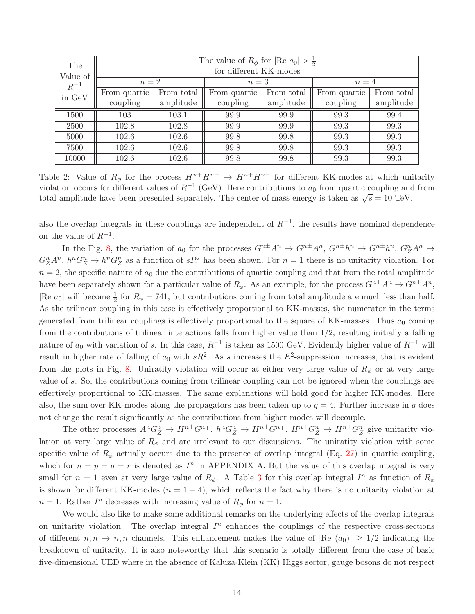| The      | The value of $R_{\phi}$ for $ \text{Re } a_0  > \frac{1}{2}$ |            |              |            |              |            |
|----------|--------------------------------------------------------------|------------|--------------|------------|--------------|------------|
| Value of | for different KK-modes                                       |            |              |            |              |            |
| $R^{-1}$ | $n=2$                                                        |            | $n=3$        |            | $n=4$        |            |
| in GeV   | From quartic                                                 | From total | From quartic | From total | From quartic | From total |
|          | coupling                                                     | amplitude  | coupling     | amplitude  | coupling     | amplitude  |
| 1500     | 103                                                          | 103.1      | 99.9         | 99.9       | 99.3         | 99.4       |
| 2500     | 102.8                                                        | 102.8      | 99.9         | 99.9       | 99.3         | 99.3       |
| 5000     | 102.6                                                        | 102.6      | 99.8         | 99.8       | 99.3         | 99.3       |
| 7500     | 102.6                                                        | 102.6      | 99.8         | 99.8       | 99.3         | 99.3       |
| 10000    | 102.6                                                        | 102.6      | 99.8         | 99.8       | 99.3         | 99.3       |

<span id="page-13-0"></span>Table 2: Value of  $R_{\phi}$  for the process  $H^{n+}H^{n-} \to H^{n+}H^{n-}$  for different KK-modes at which unitarity violation occurs for different values of  $R^{-1}$  (GeV). Here contributions to  $a_0$  from quartic coupling and from total amplitude have been presented separately. The center of mass energy is taken as  $\sqrt{s} = 10$  TeV.

also the overlap integrals in these couplings are independent of  $R^{-1}$ , the results have nominal dependence on the value of  $R^{-1}$ .

In the Fig. [8,](#page-14-0) the variation of  $a_0$  for the processes  $G^{n\pm}A^n \to G^{n\pm}A^n$ ,  $G^{n\pm}h^n \to G^{n\pm}h^n$ ,  $G^n_A A^n \to G^n$  $G_Z^n A^n$ ,  $h^n G_Z^n \to h^n G_Z^n$  as a function of  $sR^2$  has been shown. For  $n=1$  there is no unitarity violation. For  $n = 2$ , the specific nature of  $a_0$  due the contributions of quartic coupling and that from the total amplitude have been separately shown for a particular value of  $R_{\phi}$ . As an example, for the process  $G^{n\pm}A^n \to G^{n\pm}A^n$ , |Re  $a_0$ | will become  $\frac{1}{2}$  for  $R_\phi = 741$ , but contributions coming from total amplitude are much less than half. As the trilinear coupling in this case is effectively proportional to KK-masses, the numerator in the terms generated from trilinear couplings is effectively proportional to the square of KK-masses. Thus  $a_0$  coming from the contributions of trilinear interactions falls from higher value than 1/2, resulting initially a falling nature of  $a_0$  with variation of s. In this case,  $R^{-1}$  is taken as 1500 GeV. Evidently higher value of  $R^{-1}$  will result in higher rate of falling of  $a_0$  with  $sR^2$ . As s increases the  $E^2$ -suppression increases, that is evident from the plots in Fig. [8.](#page-14-0) Uniratity violation will occur at either very large value of  $R_{\phi}$  or at very large value of s. So, the contributions coming from trilinear coupling can not be ignored when the couplings are effectively proportional to KK-masses. The same explanations will hold good for higher KK-modes. Here also, the sum over KK-modes along the propagators has been taken up to  $q = 4$ . Further increase in q does not change the result significantly as the contributions from higher modes will decouple.

The other processes  $A^n G_Z^n \to H^{n\pm} G^{n\mp}$ ,  $h^n G_Z^n \to H^{n\pm} G^{n\mp}$ ,  $H^{n\pm} G_Z^n \to H^{n\pm} G_Z^n$  give unitarity violation at very large value of  $R_{\phi}$  and are irrelevant to our discussions. The uniratity violation with some specific value of  $R_{\phi}$  actually occurs due to the presence of overlap integral (Eq. [27\)](#page-7-1) in quartic coupling, which for  $n = p = q = r$  is denoted as  $I^n$  in APPENDIX A. But the value of this overlap integral is very small for  $n = 1$  even at very large value of  $R_{\phi}$ . A Table [3](#page-15-1) for this overlap integral  $I^n$  as function of  $R_{\phi}$ is shown for different KK-modes  $(n = 1 - 4)$ , which reflects the fact why there is no unitarity violation at  $n=1$ . Rather  $I<sup>n</sup>$  decreases with increasing value of  $R_{\phi}$  for  $n=1$ .

We would also like to make some additional remarks on the underlying effects of the overlap integrals on unitarity violation. The overlap integral  $I<sup>n</sup>$  enhances the couplings of the respective cross-sections of different  $n, n \to n, n$  channels. This enhancement makes the value of  $\Re(a_0) \geq 1/2$  indicating the breakdown of unitarity. It is also noteworthy that this scenario is totally different from the case of basic five-dimensional UED where in the absence of Kaluza-Klein (KK) Higgs sector, gauge bosons do not respect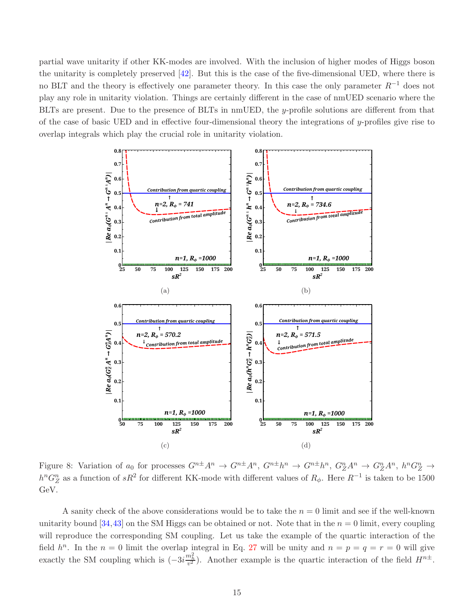partial wave unitarity if other KK-modes are involved. With the inclusion of higher modes of Higgs boson the unitarity is completely preserved [\[42\]](#page-39-2). But this is the case of the five-dimensional UED, where there is no BLT and the theory is effectively one parameter theory. In this case the only parameter  $R^{-1}$  does not play any role in unitarity violation. Things are certainly different in the case of nmUED scenario where the BLTs are present. Due to the presence of BLTs in nmUED, the y-profile solutions are different from that of the case of basic UED and in effective four-dimensional theory the integrations of y-profiles give rise to overlap integrals which play the crucial role in unitarity violation.



<span id="page-14-0"></span>Figure 8: Variation of  $a_0$  for processes  $G^{n\pm}A^n \to G^{n\pm}A^n$ ,  $G^{n\pm}h^n \to G^{n\pm}h^n$ ,  $G^n_Z A^n \to G^n_Z A^n$ ,  $h^n G^n_Z \to$  $h^n G_Z^n$  as a function of sR<sup>2</sup> for different KK-mode with different values of  $R_\phi$ . Here  $R^{-1}$  is taken to be 1500 GeV.

A sanity check of the above considerations would be to take the  $n = 0$  limit and see if the well-known unitarity bound [\[34,](#page-38-7)[43\]](#page-39-3) on the SM Higgs can be obtained or not. Note that in the  $n = 0$  limit, every coupling will reproduce the corresponding SM coupling. Let us take the example of the quartic interaction of the field  $h^n$ . In the  $n = 0$  limit the overlap integral in Eq. [27](#page-7-1) will be unity and  $n = p = q = r = 0$  will give exactly the SM coupling which is  $(-3i\frac{m_h^2}{v^2})$ . Another example is the quartic interaction of the field  $H^{n\pm}$ .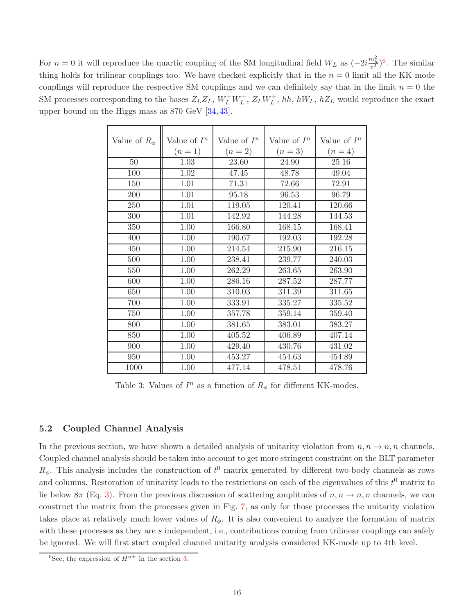For  $n = 0$  it will reproduce the quartic coupling of the SM longitudinal field  $W_L$  as  $(-2i\frac{m_h^2}{v^2})^6$  $(-2i\frac{m_h^2}{v^2})^6$ . The similar thing holds for trilinear couplings too. We have checked explicitly that in the  $n = 0$  limit all the KK-mode couplings will reproduce the respective SM couplings and we can definitely say that in the limit  $n = 0$  the SM processes corresponding to the bases  $Z_L Z_L$ ,  $W_L^+ W_L^-$ ,  $Z_L W_L^+$ ,  $hh$ ,  $hW_L$ ,  $hZ_L$  would reproduce the exact upper bound on the Higgs mass as 870 GeV [\[34,](#page-38-7) [43\]](#page-39-3).

| Value of $R_{\phi}$ | Value of $I^n$ | Value of $I^n$ | Value of $I^n$ | Value of $I^n$ |
|---------------------|----------------|----------------|----------------|----------------|
|                     | $(n=1)$        | $(n = 2)$      | $(n=3)$        | $(n = 4)$      |
| 50                  | 1.03           | 23.60          | 24.90          | 25.16          |
| 100                 | 1.02           | 47.45          | 48.78          | 49.04          |
| 150                 | 1.01           | 71.31          | 72.66          | 72.91          |
| 200                 | 1.01           | 95.18          | 96.53          | 96.79          |
| 250                 | 1.01           | 119.05         | 120.41         | 120.66         |
| 300                 | 1.01           | 142.92         | 144.28         | 144.53         |
| 350                 | 1.00           | 166.80         | 168.15         | 168.41         |
| 400                 | 1.00           | 190.67         | 192.03         | 192.28         |
| 450                 | 1.00           | 214.54         | 215.90         | 216.15         |
| 500                 | 1.00           | 238.41         | 239.77         | 240.03         |
| 550                 | 1.00           | 262.29         | 263.65         | 263.90         |
| 600                 | 1.00           | 286.16         | 287.52         | 287.77         |
| 650                 | 1.00           | 310.03         | 311.39         | 311.65         |
| 700                 | 1.00           | 333.91         | 335.27         | 335.52         |
| 750                 | 1.00           | 357.78         | 359.14         | 359.40         |
| 800                 | 1.00           | 381.65         | 383.01         | 383.27         |
| 850                 | 1.00           | 405.52         | 406.89         | 407.14         |
| 900                 | 1.00           | 429.40         | 430.76         | 431.02         |
| 950                 | 1.00           | 453.27         | 454.63         | 454.89         |
| 1000                | 1.00           | 477.14         | 478.51         | 478.76         |

<span id="page-15-1"></span>Table 3: Values of  $I^n$  as a function of  $R_\phi$  for different KK-modes.

#### <span id="page-15-0"></span>5.2 Coupled Channel Analysis

In the previous section, we have shown a detailed analysis of unitarity violation from  $n, n \to n, n$  channels. Coupled channel analysis should be taken into account to get more stringent constraint on the BLT parameter  $R_{\phi}$ . This analysis includes the construction of  $t^0$  matrix generated by different two-body channels as rows and columns. Restoration of unitarity leads to the restrictions on each of the eigenvalues of this  $t^0$  matrix to lie below 8π (Eq. [3\)](#page-2-1). From the previous discussion of scattering amplitudes of  $n, n \to n, n$  channels, we can construct the matrix from the processes given in Fig. [7,](#page-12-0) as only for those processes the unitarity violation takes place at relatively much lower values of  $R_{\phi}$ . It is also convenient to analyze the formation of matrix with these processes as they are s independent, i.e., contributions coming from trilinear couplings can safely be ignored. We will first start coupled channel unitarity analysis considered KK-mode up to 4th level.

<span id="page-15-2"></span><sup>&</sup>lt;sup>6</sup>See, the expression of  $H^{n\pm}$  in the section [3.](#page-3-4)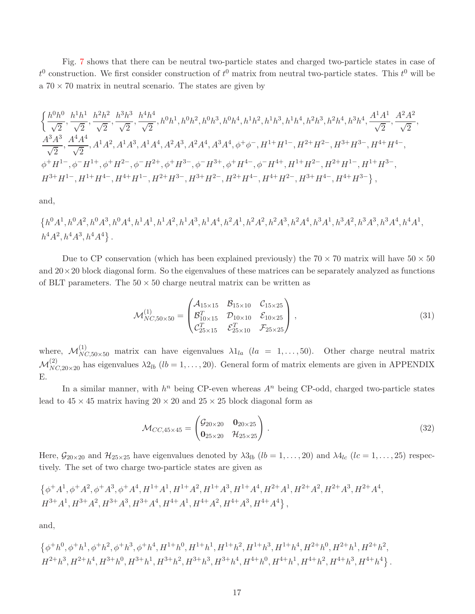Fig. [7](#page-12-0) shows that there can be neutral two-particle states and charged two-particle states in case of  $t^0$  construction. We first consider construction of  $t^0$  matrix from neutral two-particle states. This  $t^0$  will be a  $70 \times 70$  matrix in neutral scenario. The states are given by

$$
\begin{aligned} &\Big\{\frac{h^0h^0}{\sqrt{2}},\frac{h^1h^1}{\sqrt{2}},\frac{h^2h^2}{\sqrt{2}},\frac{h^3h^3}{\sqrt{2}},\frac{h^4h^4}{\sqrt{2}},h^0h^1,h^0h^2,h^0h^3,h^0h^4,h^1h^2,h^1h^3,h^1h^4,h^2h^3,h^2h^4,h^3h^4,\frac{A^1A^1}{\sqrt{2}},\frac{A^2A^2}{\sqrt{2}},\\ &\frac{A^3A^3}{\sqrt{2}},\frac{A^4A^4}{\sqrt{2}},A^1A^2,A^1A^3,A^1A^4,A^2A^3,A^2A^4,A^3A^4,\phi^+\phi^-,H^{1+}H^{1-},H^{2+}H^{2-},H^{3+}H^{3-},H^{4+}H^{4-},\\ &\phi^+H^{1-},\phi^-H^{1+},\phi^+H^{2-},\phi^-H^{2+},\phi^+H^{3-},\phi^-H^{3+},\phi^+H^{4-},\phi^-H^{4+},H^{1+}H^{2-},H^{2+}H^{1-},H^{1+}H^{3-},\\ &H^{3+}H^{1-},H^{1+}H^{4-},H^{4+}H^{1-},H^{2+}H^{3-},H^{3+}H^{2-},H^{2+}H^{4-},H^{4+}H^{2-},H^{3+}H^{4-},H^{4+}H^{3-}\Big\}\,, \end{aligned}
$$

and,

 $\{h^0A^1,h^0A^2,h^0A^3,h^0A^4,h^1A^1,h^1A^2,h^1A^3,h^1A^4,h^2A^1,h^2A^2,h^2A^3,h^2A^4,h^3A^1,h^3A^2,h^3A^3,h^3A^4,h^4A^1,h^4A^1,h^4A^1,h^4A^1,h^4A^1,h^4A^1,h^4A^1,h^4A^1,h^4A^1,h^4A^1,h^4A^1,h^4A^1,h^4A^1,h^4A^1,h^4A^1,h^4A^1,h^4A^1,h^4A^1,h^4A^1,h^4A^1,h^$  $h^4A^2, h^4A^3, h^4A^4$ .

Due to CP conservation (which has been explained previously) the  $70 \times 70$  matrix will have  $50 \times 50$ and  $20\times20$  block diagonal form. So the eigenvalues of these matrices can be separately analyzed as functions of BLT parameters. The  $50 \times 50$  charge neutral matrix can be written as

<span id="page-16-0"></span>
$$
\mathcal{M}_{NC,50\times50}^{(1)} = \begin{pmatrix} \mathcal{A}_{15\times15} & \mathcal{B}_{15\times10} & \mathcal{C}_{15\times25} \\ \mathcal{B}_{10\times15}^T & \mathcal{D}_{10\times10} & \mathcal{E}_{10\times25} \\ \mathcal{C}_{25\times15}^T & \mathcal{E}_{25\times10}^T & \mathcal{F}_{25\times25} \end{pmatrix},
$$
\n(31)

where,  $\mathcal{M}_{NC,50\times50}^{(1)}$  matrix can have eigenvalues  $\lambda 1_{la}$   $(la = 1,\ldots,50)$ . Other charge neutral matrix  $\mathcal{M}_{NC,20\times20}^{(2)}$  has eigenvalues  $\lambda2_{lb}$   $(lb=1,\ldots,20)$ . General form of matrix elements are given in APPENDIX E.

In a similar manner, with  $h^n$  being CP-even whereas  $A^n$  being CP-odd, charged two-particle states lead to  $45 \times 45$  matrix having  $20 \times 20$  and  $25 \times 25$  block diagonal form as

$$
\mathcal{M}_{CC,45\times45} = \begin{pmatrix} \mathcal{G}_{20\times20} & \mathbf{0}_{20\times25} \\ \mathbf{0}_{25\times20} & \mathcal{H}_{25\times25} \end{pmatrix} . \tag{32}
$$

Here,  $G_{20\times20}$  and  $H_{25\times25}$  have eigenvalues denoted by  $\lambda_{3lb}$  ( $lb = 1, \ldots, 20$ ) and  $\lambda_{4lc}$  ( $lc = 1, \ldots, 25$ ) respectively. The set of two charge two-particle states are given as

$$
\{\phi^+A^1, \phi^+A^2, \phi^+A^3, \phi^+A^4, H^{1+}A^1, H^{1+}A^2, H^{1+}A^3, H^{1+}A^4, H^{2+}A^1, H^{2+}A^2, H^{2+}A^3, H^{2+}A^4, H^{3+}A^1, H^{3+}A^2, H^{3+}A^3, H^{4+}A^1, H^{4+}A^2, H^{4+}A^3, H^{4+}A^4\},\
$$

and,

$$
\left\{ \phi^+ h^0, \phi^+ h^1, \phi^+ h^2, \phi^+ h^3, \phi^+ h^4, H^{1+} h^0, H^{1+} h^1, H^{1+} h^2, H^{1+} h^3, H^{1+} h^4, H^{2+} h^0, H^{2+} h^1, H^{2+} h^2,\\ H^{2+} h^3, H^{2+} h^4, H^{3+} h^0, H^{3+} h^1, H^{3+} h^2, H^{3+} h^3, H^{3+} h^4, H^{4+} h^0, H^{4+} h^1, H^{4+} h^2, H^{4+} h^3, H^{4+} h^4 \right\}.
$$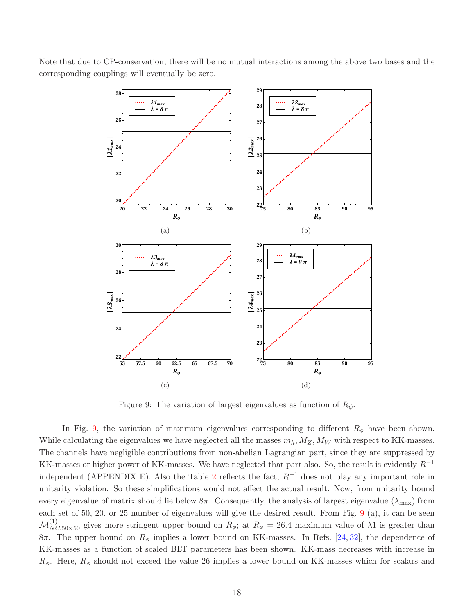



<span id="page-17-0"></span>Figure 9: The variation of largest eigenvalues as function of  $R_{\phi}$ .

In Fig. [9,](#page-17-0) the variation of maximum eigenvalues corresponding to different  $R_{\phi}$  have been shown. While calculating the eigenvalues we have neglected all the masses  $m_h, M_Z, M_W$  with respect to KK-masses. The channels have negligible contributions from non-abelian Lagrangian part, since they are suppressed by KK-masses or higher power of KK-masses. We have neglected that part also. So, the result is evidently  $R^{-1}$ independent (APPENDIX E). Also the Table [2](#page-13-0) reflects the fact,  $R^{-1}$  does not play any important role in unitarity violation. So these simplifications would not affect the actual result. Now, from unitarity bound every eigenvalue of matrix should lie below 8π. Consequently, the analysis of largest eigenvalue ( $\lambda_{\text{max}}$ ) from each set of 50, 20, or 25 number of eigenvalues will give the desired result. From Fig. [9](#page-17-0) (a), it can be seen  $\mathcal{M}_{NC,50\times50}^{(1)}$  gives more stringent upper bound on  $R_{\phi}$ ; at  $R_{\phi} = 26.4$  maximum value of  $\lambda$ 1 is greater than 8π. The upper bound on  $R_φ$  implies a lower bound on KK-masses. In Refs. [\[24,](#page-38-0) [32\]](#page-38-5), the dependence of KK-masses as a function of scaled BLT parameters has been shown. KK-mass decreases with increase in  $R_{\phi}$ . Here,  $R_{\phi}$  should not exceed the value 26 implies a lower bound on KK-masses which for scalars and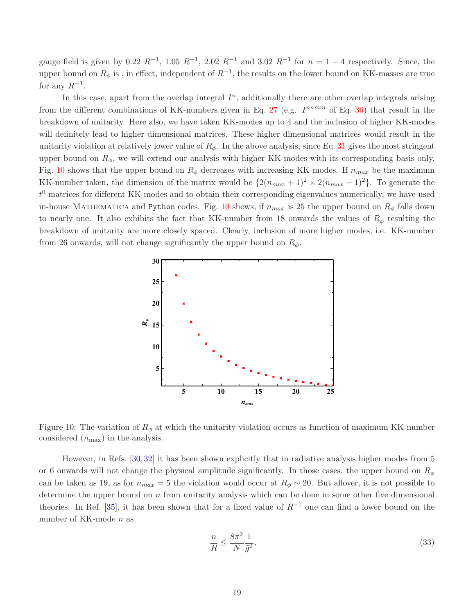gauge field is given by 0.22  $R^{-1}$ , 1.05  $R^{-1}$ , 2.02  $R^{-1}$  and 3.02  $R^{-1}$  for  $n = 1 - 4$  respectively. Since, the upper bound on  $R_{\phi}$  is , in effect, independent of  $R^{-1}$ , the results on the lower bound on KK-masses are true for any  $R^{-1}$ .

In this case, apart from the overlap integral  $I<sup>n</sup>$ , additionally there are other overlap integrals arising from the different combinations of KK-numbers given in Eq. [27](#page-7-1) (e.g.  $I^{nnmm}$  of Eq. [36\)](#page-19-0) that result in the breakdown of unitarity. Here also, we have taken KK-modes up to 4 and the inclusion of higher KK-modes will definitely lead to higher dimensional matrices. These higher dimensional matrices would result in the unitarity violation at relatively lower value of  $R_{\phi}$ . In the above analysis, since Eq. [31](#page-16-0) gives the most stringent upper bound on  $R_{\phi}$ , we will extend our analysis with higher KK-modes with its corresponding basis only. Fig. [10](#page-18-0) shows that the upper bound on  $R_{\phi}$  decreases with increasing KK-modes. If  $n_{max}$  be the maximum KK-number taken, the dimension of the matrix would be  $\{2(n_{max}+1)^2 \times 2(n_{max}+1)^2\}$ . To generate the  $t<sup>0</sup>$  matrices for different KK-modes and to obtain their corresponding eigenvalues numerically, we have used in-house MATHEMATICA and Python codes. Fig. [10](#page-18-0) shows, if  $n_{max}$  is 25 the upper bound on  $R_{\phi}$  falls down to nearly one. It also exhibits the fact that KK-number from 18 onwards the values of  $R_{\phi}$  resulting the breakdown of unitarity are more closely spaced. Clearly, inclusion of more higher modes, i.e. KK-number from 26 onwards, will not change significantly the upper bound on  $R_{\phi}$ .



<span id="page-18-0"></span>Figure 10: The variation of  $R_{\phi}$  at which the unitarity violation occurs as function of maximum KK-number considered  $(n_{\text{max}})$  in the analysis.

However, in Refs. [\[30,](#page-38-3) [32\]](#page-38-5) it has been shown explicitly that in radiative analysis higher modes from 5 or 6 onwards will not change the physical amplitude significantly. In those cases, the upper bound on  $R_{\phi}$ can be taken as 19, as for  $n_{max} = 5$  the violation would occur at  $R_{\phi} \sim 20$ . But allover, it is not possible to determine the upper bound on  $n$  from unitarity analysis which can be done in some other five dimensional theories. In Ref. [\[35\]](#page-38-8), it has been shown that for a fixed value of  $R^{-1}$  one can find a lower bound on the number of KK-mode n as

<span id="page-18-1"></span>
$$
\frac{n}{R} \le \frac{8\pi^2}{N} \frac{1}{\tilde{g}^2},\tag{33}
$$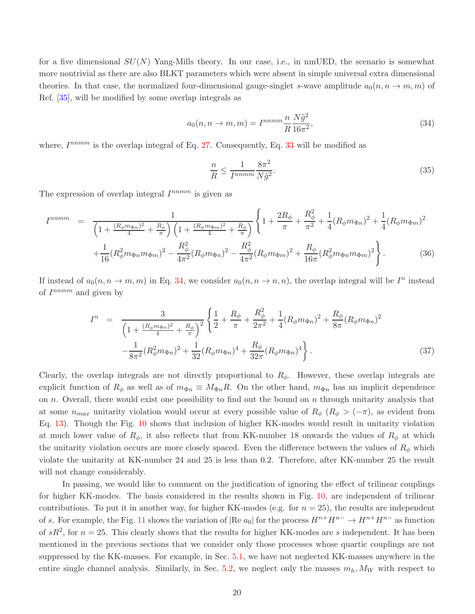for a five dimensional  $SU(N)$  Yang-Mills theory. In our case, i.e., in nmUED, the scenario is somewhat more nontrivial as there are also BLKT parameters which were absent in simple universal extra dimensional theories. In that case, the normalized four-dimensional gauge-singlet s-wave amplitude  $a_0(n, n \rightarrow m, m)$  of Ref. [\[35\]](#page-38-8), will be modified by some overlap integrals as

$$
a_0(n, n \to m, m) = I^{nnmm} \frac{n}{R} \frac{N\tilde{g}^2}{16\pi^2},
$$
\n(34)

where,  $I^{nnmm}$  is the overlap integral of Eq. [27.](#page-7-1) Consequently, Eq. [33](#page-18-1) will be modified as

<span id="page-19-1"></span>
$$
\frac{n}{R} \le \frac{1}{I^{nnmm}} \frac{8\pi^2}{N\tilde{g}^2}.\tag{35}
$$

The expression of overlap integral  $I^{nnmm}$  is given as

<span id="page-19-0"></span>
$$
I^{nnmm} = \frac{1}{\left(1 + \frac{(R_{\phi}m_{\Phi n})^2}{4} + \frac{R_{\phi}}{\pi}\right)\left(1 + \frac{(R_{\phi}m_{\Phi m})^2}{4} + \frac{R_{\phi}}{\pi}\right)} \left\{1 + \frac{2R_{\phi}}{\pi} + \frac{R_{\phi}^2}{\pi^2} + \frac{1}{4}(R_{\phi}m_{\Phi n})^2 + \frac{1}{4}(R_{\phi}m_{\Phi m})^2 + \frac{1}{16}(R_{\phi}^2m_{\Phi n}m_{\Phi m})^2 - \frac{R_{\phi}^2}{4\pi^2}(R_{\phi}m_{\Phi n})^2 - \frac{R_{\phi}^2}{4\pi^2}(R_{\phi}m_{\Phi m})^2 + \frac{R_{\phi}}{16\pi}(R_{\phi}^2m_{\Phi n}m_{\Phi m})^2\right\}.
$$
 (36)

If instead of  $a_0(n, n \to m, m)$  in Eq. [34,](#page-19-1) we consider  $a_0(n, n \to n, n)$ , the overlap integral will be  $I^n$  instead of  $I^{nnmm}$  and given by

$$
I^{n} = \frac{3}{\left(1 + \frac{(R_{\phi}m_{\Phi n})^{2}}{4} + \frac{R_{\phi}}{\pi}\right)^{2}} \left\{\frac{1}{2} + \frac{R_{\phi}}{\pi} + \frac{R_{\phi}^{2}}{2\pi^{2}} + \frac{1}{4}(R_{\phi}m_{\Phi n})^{2} + \frac{R_{\phi}}{8\pi}(R_{\phi}m_{\Phi n})^{2} - \frac{1}{8\pi^{2}}(R_{\phi}^{2}m_{\Phi n})^{2} + \frac{1}{32}(R_{\phi}m_{\Phi n})^{4} + \frac{R_{\phi}}{32\pi}(R_{\phi}m_{\Phi n})^{4}\right\}.
$$
\n(37)

Clearly, the overlap integrals are not directly proportional to  $R_{\phi}$ . However, these overlap integrals are explicit function of  $R_{\phi}$  as well as of  $m_{\Phi n} \equiv M_{\Phi n}R$ . On the other hand,  $m_{\Phi n}$  has an implicit dependence on n. Overall, there would exist one possibility to find out the bound on n through unitarity analysis that at some  $n_{max}$  unitarity violation would occur at every possible value of  $R_{\phi}$  ( $R_{\phi} > (-\pi)$ , as evident from Eq. [13\)](#page-4-1). Though the Fig. [10](#page-18-0) shows that inclusion of higher KK-modes would result in unitarity violation at much lower value of  $R_{\phi}$ , it also reflects that from KK-number 18 onwards the values of  $R_{\phi}$  at which the unitarity violation occurs are more closely spaced. Even the difference between the values of  $R_{\phi}$  which violate the unitarity at KK-number 24 and 25 is less than 0.2. Therefore, after KK-number 25 the result will not change considerably.

In passing, we would like to comment on the justification of ignoring the effect of trilinear couplings for higher KK-modes. The basis considered in the results shown in Fig. [10,](#page-18-0) are independent of trilinear contributions. To put it in another way, for higher KK-modes (e.g. for  $n = 25$ ), the results are independent of s. For example, the Fig. [11](#page-20-0) shows the variation of  $\left|\text{Re }a_0\right|$  for the process  $H^{n+}H^{n-} \to H^{n+}H^{n-}$  as function of  $sR^2$ , for  $n = 25$ . This clearly shows that the results for higher KK-modes are s independent. It has been mentioned in the previous sections that we consider only those processes whose quartic couplings are not suppressed by the KK-masses. For example, in Sec. [5.1,](#page-10-1) we have not neglected KK-masses anywhere in the entire single channel analysis. Similarly, in Sec. [5.2,](#page-15-0) we neglect only the masses  $m_h, M_W$  with respect to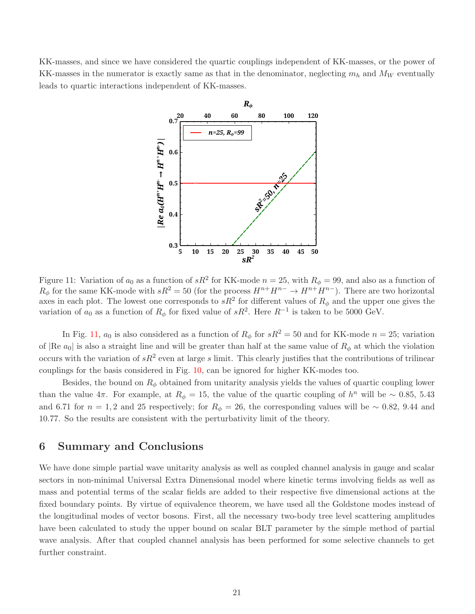KK-masses, and since we have considered the quartic couplings independent of KK-masses, or the power of KK-masses in the numerator is exactly same as that in the denominator, neglecting  $m_h$  and  $M_W$  eventually leads to quartic interactions independent of KK-masses.



<span id="page-20-0"></span>Figure 11: Variation of  $a_0$  as a function of  $sR^2$  for KK-mode  $n = 25$ , with  $R_{\phi} = 99$ , and also as a function of  $R_{\phi}$  for the same KK-mode with  $sR^2 = 50$  (for the process  $H^{n+}H^{n-} \to H^{n+}H^{n-}$ ). There are two horizontal axes in each plot. The lowest one corresponds to  $sR^2$  for different values of  $R_{\phi}$  and the upper one gives the variation of  $a_0$  as a function of  $R_{\phi}$  for fixed value of  $sR^2$ . Here  $R^{-1}$  is taken to be 5000 GeV.

In Fig. [11,](#page-20-0)  $a_0$  is also considered as a function of  $R_{\phi}$  for  $sR^2 = 50$  and for KK-mode  $n = 25$ ; variation of  $\Re$  at which the violation of  $\Re$  at straight line and will be greater than half at the same value of  $\Re$  at which the violation occurs with the variation of  $sR^2$  even at large s limit. This clearly justifies that the contributions of trilinear couplings for the basis considered in Fig. [10,](#page-18-0) can be ignored for higher KK-modes too.

Besides, the bound on  $R_{\phi}$  obtained from unitarity analysis yields the values of quartic coupling lower than the value  $4\pi$ . For example, at  $R_{\phi} = 15$ , the value of the quartic coupling of  $h^{n}$  will be ~ 0.85, 5.43 and 6.71 for  $n = 1, 2$  and 25 respectively; for  $R_{\phi} = 26$ , the corresponding values will be ~ 0.82, 9.44 and 10.77. So the results are consistent with the perturbativity limit of the theory.

## 6 Summary and Conclusions

We have done simple partial wave unitarity analysis as well as coupled channel analysis in gauge and scalar sectors in non-minimal Universal Extra Dimensional model where kinetic terms involving fields as well as mass and potential terms of the scalar fields are added to their respective five dimensional actions at the fixed boundary points. By virtue of equivalence theorem, we have used all the Goldstone modes instead of the longitudinal modes of vector bosons. First, all the necessary two-body tree level scattering amplitudes have been calculated to study the upper bound on scalar BLT parameter by the simple method of partial wave analysis. After that coupled channel analysis has been performed for some selective channels to get further constraint.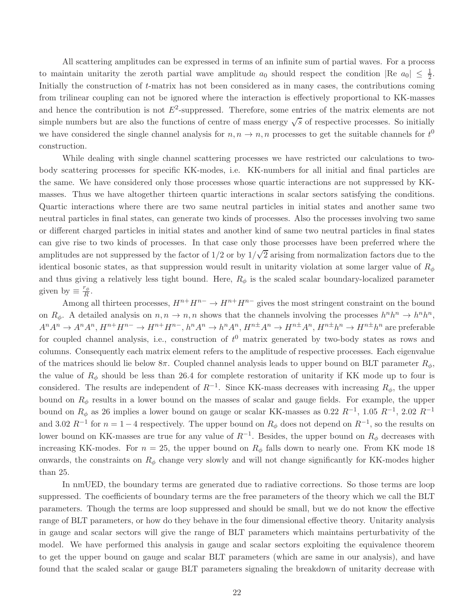All scattering amplitudes can be expressed in terms of an infinite sum of partial waves. For a process to maintain unitarity the zeroth partial wave amplitude  $a_0$  should respect the condition  $|\text{Re } a_0| \leq \frac{1}{2}$ . Initially the construction of t-matrix has not been considered as in many cases, the contributions coming from trilinear coupling can not be ignored where the interaction is effectively proportional to KK-masses and hence the contribution is not  $E^2$ -suppressed. Therefore, some entries of the matrix elements are not simple numbers but are also the functions of centre of mass energy  $\sqrt{s}$  of respective processes. So initially we have considered the single channel analysis for  $n, n \to n, n$  processes to get the suitable channels for  $t^0$ construction.

While dealing with single channel scattering processes we have restricted our calculations to twobody scattering processes for specific KK-modes, i.e. KK-numbers for all initial and final particles are the same. We have considered only those processes whose quartic interactions are not suppressed by KKmasses. Thus we have altogether thirteen quartic interactions in scalar sectors satisfying the conditions. Quartic interactions where there are two same neutral particles in initial states and another same two neutral particles in final states, can generate two kinds of processes. Also the processes involving two same or different charged particles in initial states and another kind of same two neutral particles in final states can give rise to two kinds of processes. In that case only those processes have been preferred where the amplitudes are not suppressed by the factor of  $1/2$  or by  $1/\sqrt{2}$  arising from normalization factors due to the identical bosonic states, as that suppression would result in unitarity violation at some larger value of  $R_{\phi}$ and thus giving a relatively less tight bound. Here,  $R_{\phi}$  is the scaled scalar boundary-localized parameter given by  $\equiv \frac{r_{\phi}}{R}$  $\frac{r_{\phi}}{R}$ .

Among all thirteen processes,  $H^{n+}H^{n-} \to H^{n+}H^{n-}$  gives the most stringent constraint on the bound on  $R_{\phi}$ . A detailed analysis on  $n, n \to n, n$  shows that the channels involving the processes  $h^n h^n \to h^n h^n$ ,  $A^nA^n \to A^nA^n$ ,  $H^{n+}H^{n-} \to H^{n+}H^{n-}$ ,  $h^nA^n \to h^nA^n$ ,  $H^{n\pm}A^n \to H^{n\pm}A^n$ ,  $H^{n\pm}h^n \to H^{n\pm}h^n$  are preferable for coupled channel analysis, i.e., construction of  $t^0$  matrix generated by two-body states as rows and columns. Consequently each matrix element refers to the amplitude of respective processes. Each eigenvalue of the matrices should lie below  $8\pi$ . Coupled channel analysis leads to upper bound on BLT parameter  $R_{\phi}$ , the value of  $R_{\phi}$  should be less than 26.4 for complete restoration of unitarity if KK mode up to four is considered. The results are independent of  $R^{-1}$ . Since KK-mass decreases with increasing  $R_{\phi}$ , the upper bound on  $R_{\phi}$  results in a lower bound on the masses of scalar and gauge fields. For example, the upper bound on  $R_{\phi}$  as 26 implies a lower bound on gauge or scalar KK-masses as 0.22  $R^{-1}$ , 1.05  $R^{-1}$ , 2.02  $R^{-1}$ and 3.02  $R^{-1}$  for  $n = 1 - 4$  respectively. The upper bound on  $R_{\phi}$  does not depend on  $R^{-1}$ , so the results on lower bound on KK-masses are true for any value of  $R^{-1}$ . Besides, the upper bound on  $R_{\phi}$  decreases with increasing KK-modes. For  $n = 25$ , the upper bound on  $R_{\phi}$  falls down to nearly one. From KK mode 18 onwards, the constraints on  $R_{\phi}$  change very slowly and will not change significantly for KK-modes higher than 25.

In nmUED, the boundary terms are generated due to radiative corrections. So those terms are loop suppressed. The coefficients of boundary terms are the free parameters of the theory which we call the BLT parameters. Though the terms are loop suppressed and should be small, but we do not know the effective range of BLT parameters, or how do they behave in the four dimensional effective theory. Unitarity analysis in gauge and scalar sectors will give the range of BLT parameters which maintains perturbativity of the model. We have performed this analysis in gauge and scalar sectors exploiting the equivalence theorem to get the upper bound on gauge and scalar BLT parameters (which are same in our analysis), and have found that the scaled scalar or gauge BLT parameters signaling the breakdown of unitarity decrease with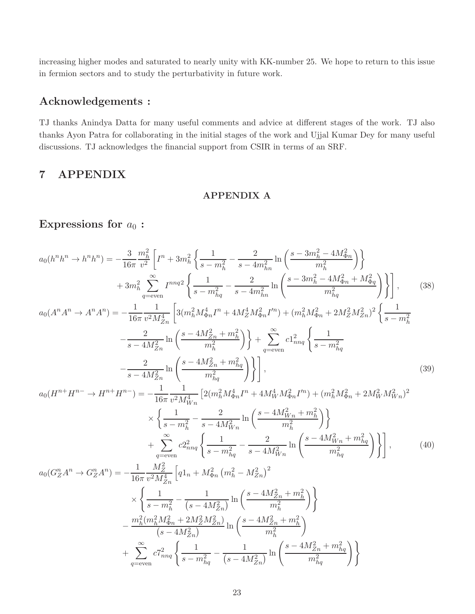increasing higher modes and saturated to nearly unity with KK-number 25. We hope to return to this issue in fermion sectors and to study the perturbativity in future work.

## Acknowledgements :

TJ thanks Anindya Datta for many useful comments and advice at different stages of the work. TJ also thanks Ayon Patra for collaborating in the initial stages of the work and Ujjal Kumar Dey for many useful discussions. TJ acknowledges the financial support from CSIR in terms of an SRF.

## 7 APPENDIX

### APPENDIX A

# Expressions for  $a_0$ :

$$
a_0(h^n h^n \to h^n h^n) = -\frac{3}{16\pi} \frac{m_h^2}{v^2} \left[ I^n + 3m_h^2 \left\{ \frac{1}{s - m_h^2} - \frac{2}{s - 4m_{hn}^2} \ln \left( \frac{s - 3m_h^2 - 4M_{\Phi n}^2}{m_h^2} \right) \right\} \right. \\
\left. + 3m_h^2 \sum_{q = \text{even}}^{\infty} I^{nnq} \left\{ \frac{1}{s - m_{hq}^2} - \frac{2}{s - 4m_{hn}^2} \ln \left( \frac{s - 3m_h^2 - 4M_{\Phi n}^2 + M_{\Phi q}^2}{m_{hq}^2} \right) \right\} \right], \qquad (38)
$$
\n
$$
a_0(A^n A^n \to A^n A^n) = -\frac{1}{16\pi} \frac{1}{v^2 M_{Zn}^4} \left[ 3(m_h^2 M_{\Phi n}^4 I^n + 4M_Z^4 M_{\Phi n}^2 I^m) + (m_h^2 M_{\Phi n}^2 + 2M_Z^2 M_{Zn}^2)^2 \left\{ \frac{1}{s - m_h^2} - \frac{2}{s - 4M_{Zn}^2} \ln \left( \frac{s - 4M_{Zn}^2 + m_h^2}{m_h^2} \right) \right\} + \sum_{q = \text{even}}^{\infty} c1_{nnq}^2 \left\{ \frac{1}{s - m_{hq}^2} - \frac{2}{s - 4M_{Zn}^2} \ln \left( \frac{s - 4M_{Zn}^2 + m_{hq}^2}{m_h^2} \right) \right\}, \qquad (39)
$$
\n
$$
a_0(H^{n+} H^{n-} \to H^{n+} H^{n-}) = -\frac{1}{16\pi} \frac{1}{v^2 M_{Wn}^4} \left[ 2(m_h^2 M_{\Phi n}^4 I^n + 4M_W^4 M_{\Phi n}^2 I^m) + (m_h^2 M_{\Phi n}^2 + 2M_W^2 M_{Wn}^2)^2 \right. \\
\left. \times \left\{ \frac{1}{s - m_h^2} - \frac{2}{s - 4M_{Wn}^2} \ln \left( \frac{s - 4M_{Wn}^2 + m_h^2}{m_h^2} \right) \right\} \right\}
$$

$$
\left. + \sum_{q=\text{even}}^{\infty} c2_{nnq}^2 \left\{ \frac{1}{s - m_{hq}^2} - \frac{2}{s - 4M_{Wn}^2} \ln \left( \frac{s - 4M_{Wn}^2 + m_{hq}^2}{m_{hq}^2} \right) \right\} \right],\tag{40}
$$

$$
a_0(G_Z^n A^n \to G_Z^n A^n) = -\frac{1}{16\pi} \frac{M_Z^2}{v^2 M_{Zn}^4} \left[ q1_n + M_{\Phi n}^2 \left( m_h^2 - M_{Zn}^2 \right)^2 \right. \\
\left. \times \left\{ \frac{1}{s - m_h^2} - \frac{1}{(s - 4M_{Zn}^2)} \ln \left( \frac{s - 4M_{Zn}^2 + m_h^2}{m_h^2} \right) \right\} \\
\left. - \frac{m_h^2 (m_h^2 M_{\Phi n}^2 + 2M_Z^2 M_{Zn}^2)}{(s - 4M_{Zn}^2)} \ln \left( \frac{s - 4M_{Zn}^2 + m_h^2}{m_h^2} \right) \right. \\
\left. + \sum_{q = \text{even}}^{\infty} c7_{nnq}^2 \left\{ \frac{1}{s - m_{hq}^2} - \frac{1}{(s - 4M_{Zn}^2)} \ln \left( \frac{s - 4M_{Zn}^2 + m_{hq}^2}{m_{hq}^2} \right) \right\}
$$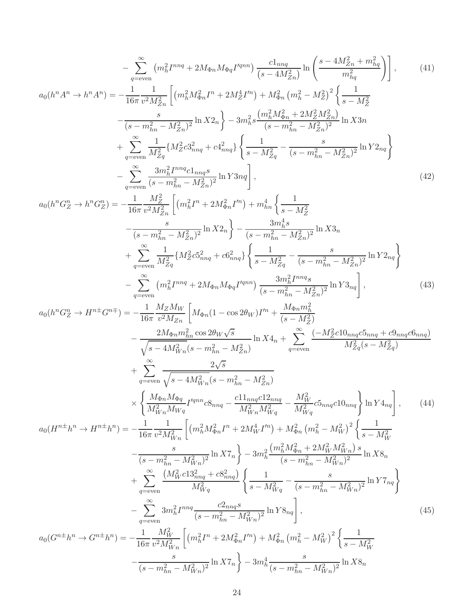$$
-\sum_{q=\text{even}}^{\infty} (m_{h}^{2}T^{nq} + 2M_{\Phi n}M_{\Phi q}T^{m n}) \frac{c1_{nq}}{(s-4M_{Zn}^{2})} \ln \left( \frac{s-4M_{Zn}^{2} + m_{hq}^{2}}{m_{hq}^{2}} \right), \qquad (41)
$$
\n
$$
a_{0}(h^{n}A^{n} \rightarrow h^{n}A^{n}) = -\frac{1}{16\pi} \frac{1}{v^{2}M_{Zn}^{2}} \left[ (m_{h}^{2}M_{\Phi n}^{2}H^{n}) + M_{\Phi n}^{2} (m_{h}^{2} - M_{Z}^{2})^{2} \right] \left\{ \frac{1}{s-M_{Z}^{2}} \right\} - \frac{1}{(s-m_{hn}^{2} - M_{Zn}^{2})^{2}} \ln X_{2n} \right\} - 3m_{h}^{2} s \frac{(m_{h}^{2}M_{\Phi n}^{2} + 2M_{Z}^{2}H_{n})}{(s-m_{hn}^{2} - M_{Zn}^{2})} \ln X_{3n}
$$
\n
$$
+ \sum_{q=\text{even}}^{\infty} \frac{1}{M_{Zq}^{2}} \left\{ M_{Z}^{2}c_{3mq}^{2} + c4_{mnq}^{2} \right\} \left\{ \frac{1}{s-M_{Zq}^{2}} - \frac{s}{(s-m_{hn}^{2} - M_{Zn}^{2})^{2}} \ln Y_{2n} \right\}
$$
\n
$$
- \sum_{q=\text{even}}^{\infty} \frac{3m_{h}^{2}I^{m nq}c_{1mq} s}{(s-m_{hn}^{2} - M_{Zn}^{2})^{2}} \ln Y_{3nq} \right], \qquad (42)
$$
\n
$$
a_{0}(h^{n}C_{Z}^{n} \rightarrow h^{n}C_{Z}^{n}) = -\frac{1}{16\pi} \frac{M_{Z}^{2}}{u^{2}M_{Zn}^{2}} \left[ (m_{h}^{2}T^{n} + 2M_{\Phi n}^{2}T^{n}) + m_{hn}^{4} \left\{ \frac{1}{s-M_{Z}^{2}} \right\} \ln X_{3n}
$$
\n
$$
+ \sum_{q=\text{even}}^{\infty} \frac{3m_{h}^{2}I^{m nq
$$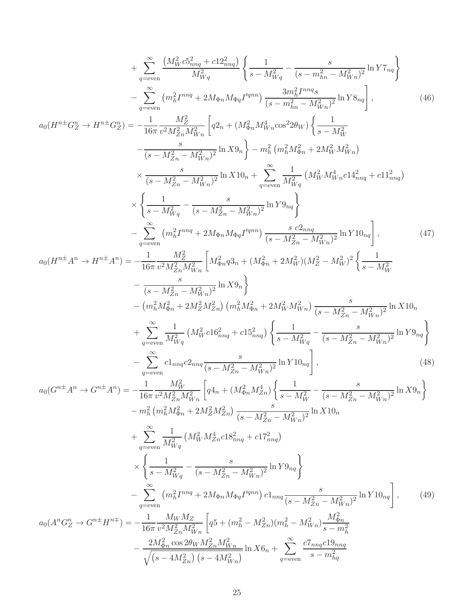$$
+\sum_{q=-\text{even}}^{\infty} \frac{(M_W^2 \sigma_{2mq}^2 + c12_{mn}^2)}{M_W^2} \left\{ \frac{1}{s - M_W^2} - \frac{s}{(s - m_{2m}^2 - M_{Wn}^2)} \ln Y \tau_{nq} \right\}
$$
  

$$
-\sum_{q=\text{even}}^{\infty} (m_H^2 I^{mn} + 2Ma_m M_{\Phi q} I^{mm}) \frac{3m_H^2 I^{mn} s}{(s - m_{2m}^2 - M_W^2)} \ln Y \text{B}_{nq} \right], \qquad (46)
$$
  

$$
a_0 (H^{n\pm} G_Z^{\nu} \rightarrow H^{n\pm} G_Z^{\nu}) = -\frac{1}{16\pi} \frac{M_Z^2}{v^2 M_{2n}^2 M_{WW}^2} \left[ q2_n + (M_W^2 M_{WW}^2 \cos^2 2\theta_W) \left\{ \frac{1}{s - M_W^2} \right.}{s - M_W^2} \right. \qquad (46)
$$
  

$$
\times \frac{s}{(s - M_{Zn}^2 - M_{WW}^2)^2} \ln X \text{B}_{n} \right\} - m_h^2 (m_h^2 M_{WW}^2 \sin^2 2\theta_W) \left\{ \frac{1}{s - M_W^2} \ln \left[ \frac{1}{M_W^2} \left( M_W^2 M_{WW}^4 \cos^2 4\cos^2 2\cos^2 2\cos^2 2\cos^2 2\cos^2 2\cos^2 2\cos^2 2\cos^2 2\cos^2 2\cos^2 2\cos^2 2\cos^2 2\cos^2 2\cos^2 2\cos^2 2\cos^2 2\cos^2 2\cos^2 2\cos^2 2\cos^2 2\cos^2 2\cos^2 2\cos^2 2\cos^2 2\cos^2 2\cos^2 2\cos^2 2\cos^2 2\cos^2 2\cos^2 2\cos^2 2\cos^2 2\cos^2 2\cos^2 2\cos^2 2\cos^2 2\cos^2 2\cos^2 2\cos^2 2\cos^2 2\cos^2 2\cos^2 2\cos^2 2\cos^2 2\cos^2 2\cos^2 2\cos^2 2\cos^2 2\cos^2 2\cos
$$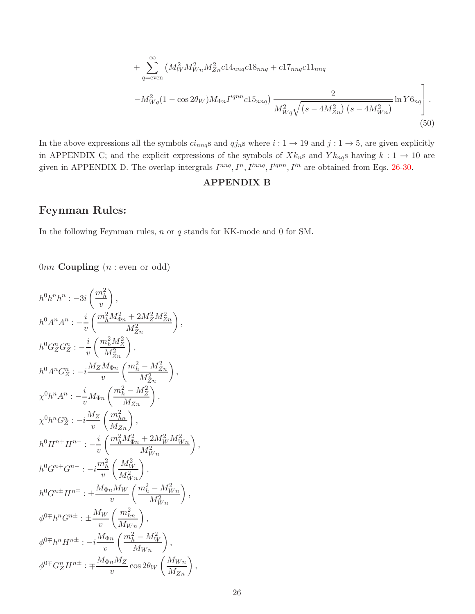+ 
$$
\sum_{q=\text{even}}^{\infty} \left( M_W^2 M_{Wn}^2 M_{Zn}^2 c 14_{nnq} c 18_{nnq} + c 17_{nnq} c 11_{nnq} \right)
$$

$$
-M_{Wq}^2 (1 - \cos 2\theta_W) M_{\Phi n} I'^{qnn} c 15_{nnq} \left) \frac{2}{M_{Wq}^2 \sqrt{(s - 4M_{Zn}^2) (s - 4M_{Wn}^2)}} \ln Y6_{nq} \right].
$$

$$
(50)
$$

In the above expressions all the symbols  $ci_{nnq}$ s and  $qj_n$ s where  $i: 1 \to 19$  and  $j: 1 \to 5$ , are given explicitly in APPENDIX C; and the explicit expressions of the symbols of  $Xk_n$ s and  $Yk_{nq}$ s having  $k: 1 \rightarrow 10$  are given in APPENDIX D. The overlap intergrals  $I^{nnq}, I^n, I^{nnq}, I'^{qnn}, I'^n$  are obtained from Eqs. [26-30.](#page-7-1)

#### APPENDIX B

## Feynman Rules:

In the following Feynman rules, n or q stands for KK-mode and 0 for SM.

 $0nn$  **Coupling**  $(n : even \text{ or odd})$ 

$$
h^{0}h^{n}h^{n} : -3i\left(\frac{m_{h}^{2}}{v}\right),
$$
  
\n
$$
h^{0}A^{n}A^{n} : -\frac{i}{v}\left(\frac{m_{h}^{2}M_{\Phi n}^{2} + 2M_{Z}^{2}M_{Zn}^{2}}{M_{Zn}^{2}}\right),
$$
  
\n
$$
h^{0}G_{Z}^{n}G_{Z}^{n} : -\frac{i}{v}\left(\frac{m_{h}^{2}M_{Z}^{2}}{M_{Zn}^{2}}\right),
$$
  
\n
$$
h^{0}A^{n}G_{Z}^{n} : -i\frac{M_{Z}M_{\Phi n}}{v}\left(\frac{m_{h}^{2} - M_{Zn}^{2}}{M_{Zn}^{2}}\right),
$$
  
\n
$$
\chi^{0}h^{n}A^{n} : -\frac{i}{v}M_{\Phi n}\left(\frac{m_{h}^{2} - M_{Z}^{2}}{M_{Zn}}\right),
$$
  
\n
$$
\chi^{0}h^{n}G_{Z}^{n} : -i\frac{M_{Z}}{v}\left(\frac{m_{h n}^{2}}{M_{Zn}}\right),
$$
  
\n
$$
h^{0}H^{n+}H^{n-} : -\frac{i}{v}\left(\frac{m_{h}^{2}M_{\Phi n}^{2} + 2M_{W}^{2}M_{Wn}^{2}}{M_{Wn}^{2}}\right),
$$
  
\n
$$
h^{0}G^{n+}G^{n-} : -i\frac{m_{h}^{2}}{v}\left(\frac{M_{W}^{2}}{M_{Wn}^{2}}\right),
$$
  
\n
$$
h^{0}G^{n\pm}H^{n\mp} : \pm \frac{M_{\Phi n}M_{W}}{v}\left(\frac{m_{h}^{2} - M_{Wn}^{2}}{M_{Wn}^{2}}\right),
$$
  
\n
$$
\phi^{0\mp}h^{n}G^{n\pm} : \pm \frac{M_{W}}{v}\left(\frac{m_{h n}^{2}}{M_{Wn}}\right),
$$
  
\n
$$
\phi^{0\mp}h^{n}H^{n\pm} : -i\frac{M_{\Phi n}M_{Z}}{v}\cos 2\theta_{W}\left(\frac{M_{Wn}}{M_{Zn}}\right),
$$
  
\n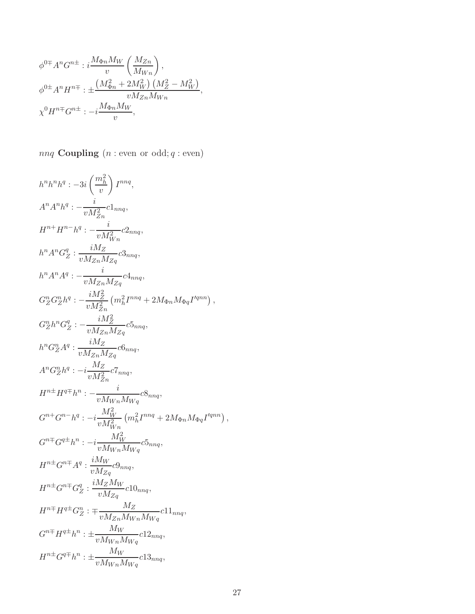$$
\phi^{0\mp} A^n G^{n\pm} : i \frac{M_{\Phi n} M_W}{v} \left( \frac{M_{Zn}}{M_{Wn}} \right),
$$
  

$$
\phi^{0\pm} A^n H^{n\mp} : \pm \frac{\left( M_{\Phi n}^2 + 2M_W^2 \right) \left( M_Z^2 - M_W^2 \right)}{v M_{Zn} M_{Wn}},
$$
  

$$
\chi^0 H^{n\mp} G^{n\pm} : -i \frac{M_{\Phi n} M_W}{v},
$$

 $nnq$  Coupling  $(n : even \text{ or } odd; q : even)$ 

$$
h^{n}h^{n}h^{q}: -3i\left(\frac{m_{h}^{2}}{v}\right)I^{nnq},
$$
\n
$$
A^{n}A^{n}h^{q}: -\frac{i}{vM_{Zn}^{2}}c1_{nnq},
$$
\n
$$
H^{n+}H^{n-hq}: -\frac{i}{vM_{Wn}^{2}}c2_{nnq},
$$
\n
$$
h^{n}A^{n}G_{Z}^{q}: \frac{iM_{Z}}{vM_{Zn}M_{Zq}}c3_{nnq},
$$
\n
$$
h^{n}A^{n}A^{q}: -\frac{i}{vM_{Zn}M_{Zq}}c4_{nnq},
$$
\n
$$
G_{Z}^{n}G_{Z}^{n}h^{q}: -\frac{iM_{Z}^{2}}{vM_{Zn}^{2}}\left(m_{h}^{2}I^{mnq} + 2M_{\Phi n}M_{\Phi q}I^{lqnn}\right),
$$
\n
$$
G_{Z}^{n}h^{n}G_{Z}^{q}: -\frac{iM_{Z}^{2}}{vM_{Zn}M_{Zq}}c5_{nnq},
$$
\n
$$
h^{n}G_{Z}^{n}A^{q}: \frac{iM_{Z}}{vM_{Zn}M_{Zq}}c5_{nnq},
$$
\n
$$
A^{n}G_{Z}^{n}h^{q}: -i\frac{M_{Z}}{vM_{Zn}^{2}}c7_{nnq},
$$
\n
$$
H^{n\pm}H^{q\mp}h^{n}: -\frac{i}{vM_{Wn}^{2}}m^{q}
$$
\n
$$
H^{n\pm}G^{n\pm}G^{n\pm}h^{n}: -i\frac{M_{W}^{2}}{vM_{Wn}^{2}}\left(m_{h}^{2}I^{nnq} + 2M_{\Phi n}M_{\Phi q}I^{lqnn}\right),
$$
\n
$$
G^{n\mp}G^{q\pm}h^{n}: -i\frac{M_{W}^{2}}{vM_{Wn}^{2}}c5_{nnq},
$$
\n
$$
H^{n\pm}G^{n\mp}A^{q}: \frac{iM_{W}}{vM_{Zq}}c9_{nnq},
$$
\n
$$
H^{n\pm}G^{n\mp}A^{q}: \frac{iM_{W}}{vM_{Zq}}c9_{nnq},
$$
\n
$$
H^{n\pm}H^{q\pm}
$$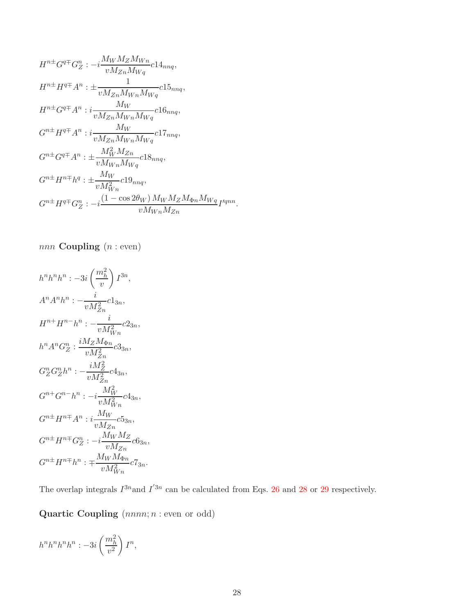$$
H^{n\pm}G^{q\mp}G^{n}_{Z} : -i\frac{M_{W}M_{Z}M_{Wn}}{vM_{Zn}M_{Wq}}c14_{nnq},
$$
  
\n
$$
H^{n\pm}H^{q\mp}A^{n} : \pm \frac{1}{vM_{Zn}M_{Wn}M_{Wq}}c15_{nnq},
$$
  
\n
$$
H^{n\pm}G^{q\mp}A^{n} : i\frac{M_{W}}{vM_{Zn}M_{Wn}M_{Wq}}c16_{nnq},
$$
  
\n
$$
G^{n\pm}H^{q\mp}A^{n} : i\frac{M_{W}}{vM_{Zn}M_{Wn}M_{Wq}}c17_{nnq},
$$
  
\n
$$
G^{n\pm}G^{q\mp}A^{n} : \pm \frac{M_{W}^{2}M_{Zn}}{vM_{Wn}M_{Wq}}c18_{nnq},
$$
  
\n
$$
G^{n\pm}H^{n\mp}h^{q} : \pm \frac{M_{W}}{vM_{Wn}^{2}}c19_{nnq},
$$
  
\n
$$
G^{n\pm}H^{q\mp}G^{n}_{Z} : -i\frac{(1-\cos 2\theta_{W})M_{W}M_{Z}M_{\Phi n}M_{Wq}}{vM_{Wn}M_{Zn}}I'^{qnn}.
$$

$$
nnn \text{ Coupling } (n:\text{even})
$$

$$
h^{n}h^{n}h^{n} : -3i\left(\frac{m_{h}^{2}}{v}\right)I^{3n},
$$
\n
$$
A^{n}A^{n}h^{n} : -\frac{i}{vM_{Zn}^{2}}c1_{3n},
$$
\n
$$
H^{n+}H^{n-}h^{n} : -\frac{i}{vM_{Wn}^{2}}c2_{3n},
$$
\n
$$
h^{n}A^{n}G_{Z}^{n} : \frac{iM_{Z}M_{\Phi n}}{vM_{Zn}^{2}}c3_{3n},
$$
\n
$$
G_{Z}^{n}G_{Z}^{n}h^{n} : -\frac{iM_{Z}^{2}}{vM_{Zn}^{2}}c4_{3n},
$$
\n
$$
G^{n+}G^{n-}h^{n} : -i\frac{M_{W}^{2}}{vM_{Wn}^{2}}c4_{3n},
$$
\n
$$
G^{n+}H^{n+}A^{n} : i\frac{M_{W}}{vM_{Zn}}c5_{3n},
$$
\n
$$
G^{n+}H^{n+}G_{Z}^{n} : -i\frac{M_{W}M_{Z}}{vM_{Zn}}c6_{3n},
$$
\n
$$
G^{n+}H^{n+}h^{n} : +\frac{M_{W}M_{\Phi n}}{vM_{Wn}^{2}}c7_{3n}.
$$

The overlap integrals  $I^{3n}$  and  $I^{'3n}$  can be calculated from Eqs. [26](#page-7-1) and [28](#page-7-1) or [29](#page-7-1) respectively.

Quartic Coupling  $(nnnn; n : even \text{ or odd})$ 

$$
h^n h^n h^n h^n: -3i\left(\frac{m_h^2}{v^2}\right)I^n,
$$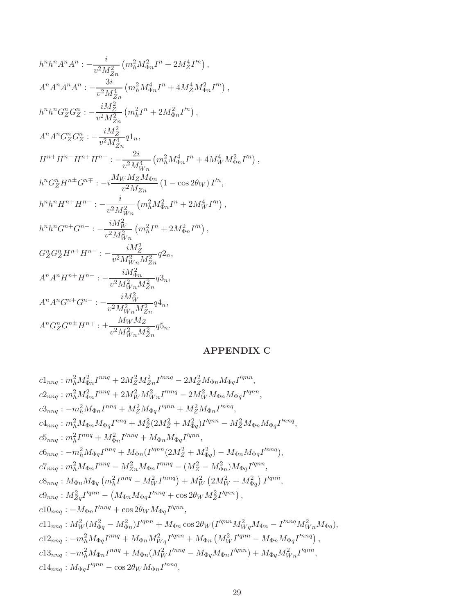$$
h^{n}h^{n}A^{n}A^{n} : -\frac{i}{v^{2}M_{Zn}^{2}} \left( m_{h}^{2}M_{\Phi n}^{2}I^{n} + 2M_{Z}^{4}I^{/n} \right),
$$
  
\n
$$
A^{n}A^{n}A^{n}A^{n} : -\frac{3i}{v^{2}M_{Zn}^{4}} \left( m_{h}^{2}M_{\Phi n}^{4}I^{n} + 4M_{Z}^{4}M_{\Phi n}^{2}I^{/n} \right),
$$
  
\n
$$
h^{n}h^{n}G_{Z}^{n}G_{Z}^{n} : -\frac{iM_{Z}^{2}}{v^{2}M_{Zn}^{2}} \left( m_{h}^{2}I^{n} + 2M_{\Phi n}^{2}I^{/n} \right),
$$
  
\n
$$
A^{n}A^{n}G_{Z}^{n}G_{Z}^{n} : -\frac{iM_{Z}^{2}}{v^{2}M_{Zn}^{4}} q1_{n},
$$
  
\n
$$
H^{n+}H^{n-}H^{n+}H^{n-} : -\frac{2i}{v^{2}M_{Mn}^{4}} \left( m_{h}^{2}M_{\Phi n}^{4}I^{n} + 4M_{W}^{4}M_{\Phi n}^{2}I^{/n} \right),
$$
  
\n
$$
h^{n}G_{Z}^{n}H^{n\pm}G^{n\mp} : -i\frac{M_{W}M_{Z}M_{\Phi n}}{v^{2}M_{Zn}} \left( 1 - \cos 2\theta_{W} \right)I^{/n},
$$
  
\n
$$
h^{n}h^{n}H^{n+}H^{n-} : -\frac{i}{v^{2}M_{Wn}^{2}} \left( m_{h}^{2}M_{\Phi n}^{2}I^{n} + 2M_{W}^{4}I^{/n} \right),
$$
  
\n
$$
h^{n}h^{n}G^{n+}G^{n-} : -\frac{iM_{W}^{2}}{v^{2}M_{Wn}^{2}} \left( m_{h}^{2}I^{n} + 2M_{\Phi n}^{2}I^{/n} \right),
$$
  
\n
$$
G_{Z}^{n}G_{Z}^{n}H^{n+}H^{n-} : -\frac{iM_{Z}^{2}}{v^{2}M_{Wn}^{2}}
$$

## APPENDIX C

$$
c1_{nnq}: m_h^2 M_{\Phi n}^2 I^{nnq} + 2M_Z^2 M_{Zn}^2 I^{nnq} - 2M_Z^2 M_{\Phi n} M_{\Phi q} I^{lqnn},
$$
  
\n
$$
c2_{nnq}: m_h^2 M_{\Phi n}^2 I^{nnq} + 2M_W^2 M_{Wn}^2 I^{nnq} - 2M_W^2 M_{\Phi n} M_{\Phi q} I^{lqnn},
$$
  
\n
$$
c3_{nnq}: -m_h^2 M_{\Phi n} I^{nnq} + M_Z^2 M_{\Phi q} I^{lqnn} + M_Z^2 M_{\Phi n} I^{lnnq},
$$
  
\n
$$
c4_{nnq}: m_h^2 M_{\Phi n} M_{\Phi q} I^{nnq} + M_Z^2 (2M_Z^2 + M_{\Phi q}^2) I^{lqnn} - M_Z^2 M_{\Phi n} M_{\Phi q} I^{lnnq},
$$
  
\n
$$
c5_{nnq}: m_h^2 I^{nnq} + M_{\Phi n}^2 I^{lnnq} + M_{\Phi n} M_{\Phi q} I^{lqnn},
$$
  
\n
$$
c6_{nnq}: -m_h^2 M_{\Phi q} I^{nnq} + M_{\Phi n} (I^{lqnn}(2M_Z^2 + M_{\Phi q}^2) - M_{\Phi n} M_{\Phi q} I^{lnnq}),
$$
  
\n
$$
c7_{nnq}: M_{\Phi n} M_{\Phi q} (m_h^2 I^{nnq} - M_W^2 I^{lnnq}) + M_W^2 (2M_W^2 + M_{\Phi q}^2) I^{lqnn},
$$
  
\n
$$
c9_{nnq}: M_{Zq}^2 I^{lqnn} - (M_{\Phi n} M_{\Phi q} I^{lnnq} + \cos 2\theta_W M_Z^2 I^{lqnn}),
$$
  
\n
$$
c10_{nnq}: -M_{\Phi n} I^{lnnq} + \cos 2\theta_W M_{\Phi q} I^{lqnn},
$$
  
\n
$$
c11_{nnq}: M_W^2 (M_{\Phi q}^2 - M_{\Phi n}^2) I^{lqnn} + M_{\Phi n} \cos 2\theta_W (I^{lqnn} M_{Wq}^2 M_{\Phi n} - I^{lnnq} M_{Wn}^2 M_{\Phi q}),
$$
  
\n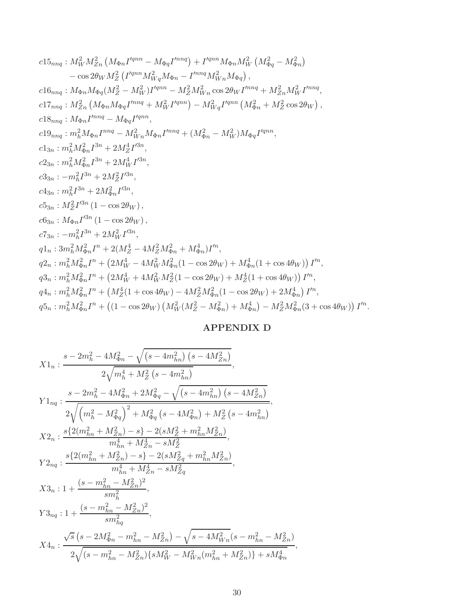$$
c15_{nnq} : M_W^2 M_{Zn}^2 (M_{\Phi n} I^{qnn} - M_{\Phi q} I^{nnq}) + I^{qnn} M_{\Phi n} M_W^2 (M_{\Phi q}^2 - M_{\Phi n}^2)
$$
  
\n
$$
- \cos 2\theta_W M_Z^2 (I^{qnn} M_{Wq}^2 M_{\Phi n} - I^{nnq} M_{Wn}^2 M_{\Phi q}),
$$
  
\n
$$
c16_{nnq} : M_{\Phi n} M_{\Phi q} (M_Z^2 - M_W^2) I^{qnn} - M_Z^2 M_W^2 n \cos 2\theta_W I^{nnq} + M_{Zn}^2 M_W^2 I^{nnq},
$$
  
\n
$$
c17_{nnq} : M_{Zn}^2 (M_{\Phi n} M_{\Phi q} I^{nnq} + M_W^2 I^{qnn}) - M_W^2 q I^{qnn} (M_{\Phi n}^2 + M_Z^2 \cos 2\theta_W),
$$
  
\n
$$
c18_{nnq} : M_{\Phi n} I^{nnq} - M_{\Phi q} I^{qnn},
$$
  
\n
$$
c19_{nnq} : m_h^2 M_{\Phi n}^2 I^{3n} + 2M_Z^2 I^{3n},
$$
  
\n
$$
c2_{3n} : m_h^2 M_{\Phi n}^2 I^{3n} + 2M_Z^4 I^{3n},
$$
  
\n
$$
c3_{3n} : -m_h^2 I^{3n} + 2M_Z^2 I^{3n},
$$
  
\n
$$
c3_{3n} : m_h^2 I^{3n} + 2M_{\Phi n}^2 I^{3n},
$$
  
\n
$$
c5_{3n} : M_Z^2 I^{3n} (1 - \cos 2\theta_W),
$$
  
\n
$$
c5_{3n} : M_Z^2 I^{3n} (1 - \cos 2\theta_W),
$$
  
\n
$$
c7_{3n} : -m_h^2 I^{3n} + 2M_W^2 I^{3n},
$$
  
\n
$$
q1_n : 3m_h^2 M_{\Phi n}^2 I^n + (2M_Z^4 - 4M_Z^2 M_{\Phi n}^2 + M_{\Phi n}^4) I^m,
$$
  
\n
$$
q2_n : m_h^2 M_{\Phi n}^2 I^n + (2M
$$

## APPENDIX D

$$
\begin{split} &X1_n: \frac{s-2m_h^2-4M_{\Phi n}^2-\sqrt{\left(s-4m_{hn}^2\right)\left(s-4M_{Zn}^2\right)}}{2\sqrt{m_h^4+M_Z^2\left(s-4m_{hn}^2\right)}},\\ &Y1_{nq}: \frac{s-2m_h^2-4M_{\Phi n}^2+2M_{\Phi q}^2-\sqrt{\left(s-4m_{hn}^2\right)\left(s-4M_{Zn}^2\right)}}{2\sqrt{\left(m_h^2-M_{\Phi q}^2\right)^2+M_{\Phi q}^2\left(s-4M_{\Phi n}^2\right)+M_Z^2\left(s-4m_{hn}^2\right)}},\\ &X2_n: \frac{s\left\{2(m_{hn}^2+M_{Zn}^2)-s\right\}-2(sM_Z^2+m_{hn}^2M_{Zn}^2)}{m_{hn}^4+M_{Zn}^4-sM_Z^2},\\ &Y2_{nq}: \frac{s\left\{2(m_{hn}^2+M_{Zn}^2)-s\right\}-2(sM_{Zq}^2+m_{hn}^2M_{Zn}^2)}{m_{hn}^4+M_{Zn}^4-sM_{Zq}^2},\\ &X3_n: 1+\frac{(s-m_{hn}^2-M_{Zn}^2)^2}{sm_n^2},\\ &Y3_{nq}: 1+\frac{(s-m_{hn}^2-M_{Zn}^2)^2}{sm_n^2},\\ &Y3_{nq}: 1+\frac{(s-m_{hn}^2-M_{Zn}^2)^2}{sm_n^2},\\ &X4_n: \frac{\sqrt{s}\left(s-2M_{\Phi n}^2-m_{hn}^2-M_{Zn}^2\right)-\sqrt{s-4M_{Wn}^2(s-m_{hn}^2-M_{Zn}^2)}+sM_{\Phi n}^4}{2\sqrt{\left(s-m_{hn}^2-M_{Zn}^2\right)\left\{sM_W^2-M_{Wn}^2\left(m_{hn}^2+M_{Zn}^2\right)\right\}+sM_{\Phi n}^4},\\ \end{split}
$$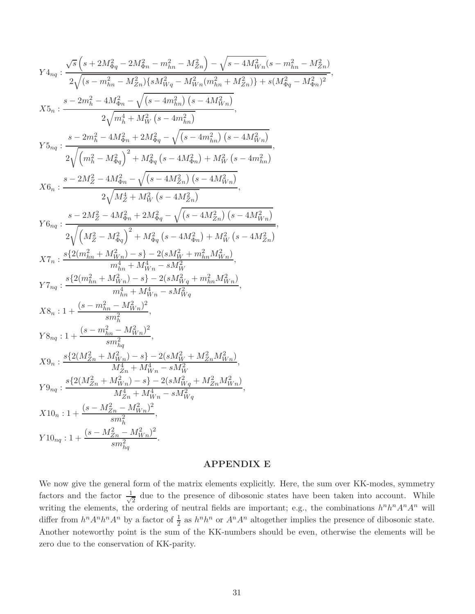$$
\begin{split} Y4_{nq} & : \frac{\sqrt{s}\left(s+2M_{\Phi q}^2-2M_{\Phi n}^2-m_{h n}^2-M_{Zn}^2\right)-\sqrt{s-4M_{Wn}^2(s-m_{h n}^2-M_{Zn}^2)}}{2\sqrt{(s-m_{h n}^2-M_{Zn}^2)\{sM_{Wq}^2-M_{Wn}^2(m_{h n}^2+M_{Zn}^2)\}+s(M_{\Phi q}^2-M_{\Phi n}^2)^2}},\\ X5_{n} & : \frac{s-2m_{h}^2-4M_{\Phi n}^2-\sqrt{(s-4m_{h n}^2)\left(s-4M_{Wn}^2\right)}}{2\sqrt{m_{h}^4+M_{W}^2\left(s-4m_{h n}^2\right)}},\\ Y5_{nq} & : \frac{s-2m_{h}^2-4M_{\Phi n}^2+2M_{\Phi q}^2-\sqrt{(s-4m_{h n}^2)\left(s-4M_{Wn}^2\right)}}{2\sqrt{\left(m_{h}^2-M_{\Phi q}^2\right)^2+M_{\Phi q}^2\left(s-4M_{\Phi n}^2\right)+M_{W}^2\left(s-4m_{h n}^2\right)}},\\ X6_{n} & : \frac{s-2M_{Z}^2-4M_{\Phi n}^2-\sqrt{(s-4M_{Zn}^2)\left(s-4M_{Wn}^2\right)}}{2\sqrt{M_Z^4+M_{W}^2\left(s-4M_{Zn}^2\right)}},\\ Y6_{nq} & : \frac{s-2M_{Z}^2-4M_{\Phi n}^2-2M_{\Phi q}^2-\sqrt{(s-4M_{Zn}^2)\left(s-4M_{Wn}^2\right)}}{2\sqrt{\left(M_Z^2-M_{\Phi q}^2\right)^2+M_{\Phi q}^2\left(s-4M_{Zn}^2\right)}},\\ Y7_{nq} & : \frac{s\left(2(m_{h n}^2+M_{Wn}^2)-s\right)-2(sM_{W}^2+m_{h n}^2M_{Wn}^2)}{m_{h n}^4+M_{Wn}^4-sM_{Wn}^2},\\ Y7_{nq} & : \frac{s\left(2(m_{h n}^2+M_{Wn}^2)^2\right)}{m_{h n}^4+M_{Wn}^4-sM_{Wq}^2},\\ Y7_{nq} & : \frac{s\left(2(m_{h n
$$

#### APPENDIX E

We now give the general form of the matrix elements explicitly. Here, the sum over KK-modes, symmetry factors and the factor  $\frac{1}{\sqrt{2}}$  $\frac{1}{2}$  due to the presence of dibosonic states have been taken into account. While writing the elements, the ordering of neutral fields are important; e.g., the combinations  $h^n h^n A^n A^n$  will differ from  $h^n A^n h^n A^n$  by a factor of  $\frac{1}{2}$  as  $h^n h^n$  or  $A^n A^n$  altogether implies the presence of dibosonic state. Another noteworthy point is the sum of the KK-numbers should be even, otherwise the elements will be zero due to the conservation of KK-parity.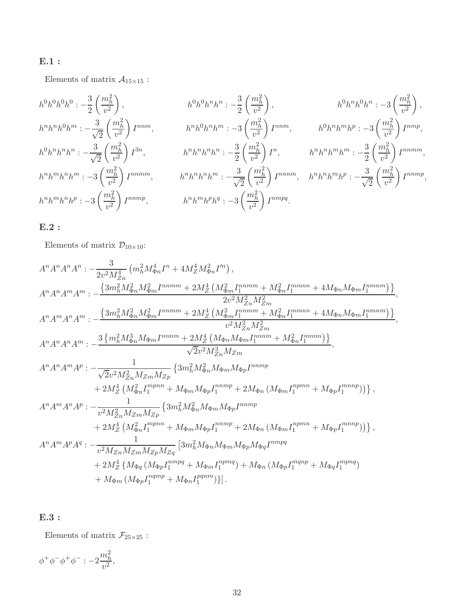## E.1 :

Elements of matrix  $\mathcal{A}_{15\times 15}$  :

$$
h^{0}h^{0}h^{0}h^{0} := -\frac{3}{2} \left(\frac{m_{h}^{2}}{v^{2}}\right), \qquad h^{0}h^{0}h^{n}h^{n} := -\frac{3}{2} \left(\frac{m_{h}^{2}}{v^{2}}\right), \qquad h^{0}h^{n}h^{0}h^{n} := -3 \left(\frac{m_{h}^{2}}{v^{2}}\right),
$$
  
\n
$$
h^{n}h^{n}h^{0}h^{m} := -\frac{3}{\sqrt{2}} \left(\frac{m_{h}^{2}}{v^{2}}\right)I^{mm}, \qquad h^{n}h^{0}h^{n}h^{m} := -3 \left(\frac{m_{h}^{2}}{v^{2}}\right)I^{mm}, \qquad h^{0}h^{n}h^{m}h^{p} := -3 \left(\frac{m_{h}^{2}}{v^{2}}\right)I^{mm},
$$
  
\n
$$
h^{0}h^{n}h^{n}h^{n} := -\frac{3}{\sqrt{2}} \left(\frac{m_{h}^{2}}{v^{2}}\right)I^{3n}, \qquad h^{n}h^{n}h^{n}h^{n} := -\frac{3}{2} \left(\frac{m_{h}^{2}}{v^{2}}\right)I^{n}, \qquad h^{n}h^{n}h^{m}h^{m} := -\frac{3}{2} \left(\frac{m_{h}^{2}}{v^{2}}\right)I^{mmm},
$$
  
\n
$$
h^{n}h^{m}h^{n}h^{n} := -3 \left(\frac{m_{h}^{2}}{v^{2}}\right)I^{mmm}, \qquad h^{n}h^{n}h^{n}h^{m} := -\frac{3}{\sqrt{2}} \left(\frac{m_{h}^{2}}{v^{2}}\right)I^{mmm}, \qquad h^{n}h^{n}h^{m}h^{p} := -\frac{3}{\sqrt{2}} \left(\frac{m_{h}^{2}}{v^{2}}\right)I^{mmm},
$$
  
\n
$$
h^{n}h^{m}h^{n}h^{p} := -3 \left(\frac{m_{h}^{2}}{v^{2}}\right)I^{mmm}, \qquad h^{n}h^{m}h^{p}h^{q} := -3 \left(\frac{m_{h}^{2}}{v^{2}}\right)I^{mmpq}.
$$

## E.2 :

Elements of matrix  $\mathcal{D}_{10\times 10}$  :

$$
A^{n}A^{n}A^{n}A^{n} := -\frac{3}{2v^{2}M_{Zn}^{4}} \left( m_{h}^{2}M_{\Phi n}^{4}I^{n} + 4M_{Z}^{4}M_{\Phi n}^{2}I^{ln} \right),
$$
\n
$$
A^{n}A^{n}A^{m}A^{m} := -\frac{\left\{3m_{h}^{2}M_{\Phi n}^{2}M_{\Phi n}^{2}I^{nmmn} + 2M_{Z}^{4}\left(M_{\Phi m}^{2}I_{1}^{nmmn} + M_{\Phi n}^{2}I_{1}^{mmmn} + 4M_{\Phi n}M_{\Phi m}I_{1}^{mmmn}\right)\right\}}{2v^{2}M_{Zn}^{2}M_{Zm}^{2}}
$$
\n
$$
A^{n}A^{m}A^{n}A^{m} := -\frac{\left\{3m_{h}^{2}M_{\Phi n}^{2}M_{\Phi m}^{2}I^{nmmn} + 2M_{Z}^{4}\left(M_{\Phi m}^{2}I_{1}^{mnm} + M_{\Phi n}^{2}I_{1}^{mmmn} + 4M_{\Phi n}M_{\Phi m}I_{1}^{mmnm}\right)\right\}}{v^{2}M_{Zn}^{2}M_{Zm}^{2}}
$$
\n
$$
A^{n}A^{n}A^{n}A^{m} := -\frac{3\left\{m_{h}^{2}M_{\Phi n}^{3}M_{\Phi m}I^{mnnm} + 2M_{Z}^{4}\left(M_{\Phi n}M_{\Phi m}I_{1}^{mnm} + M_{\Phi n}^{2}I_{1}^{mmn}\right)\right\}}{2v^{2}M_{Zn}^{3}M_{Zm}} \left\{\left(2M_{\Phi n}M_{\Phi m}I_{1}^{mnm}\right) + M_{\Phi n}^{2}I_{1}^{mmn}\right\}
$$
\n
$$
A^{n}A^{n}A^{n}A^{n} = -\frac{1}{\sqrt{2v^{2}M_{Zn}^{2}M_{Zm}^{2}M_{Zp}}\left\{\left(3m_{h}^{2}M_{\Phi n}^{2}M_{\Phi m}M_{\Phi p}I^{mnm}\right\}
$$
\n
$$
+ 2M_{Z}^{4}\left(M_{\Phi n}^{2}I_{1}^{mmn} + M_{\Phi m}M_{\Phi p}I_{1}^{mmn}\right) + 2M_{
$$

## E.3 :

Elements of matrix  $\mathcal{F}_{25\times25}$  :

 $\phi^+ \phi^- \phi^+ \phi^- : -2$  $m_h^2$  $\frac{n}{v^2}$ ,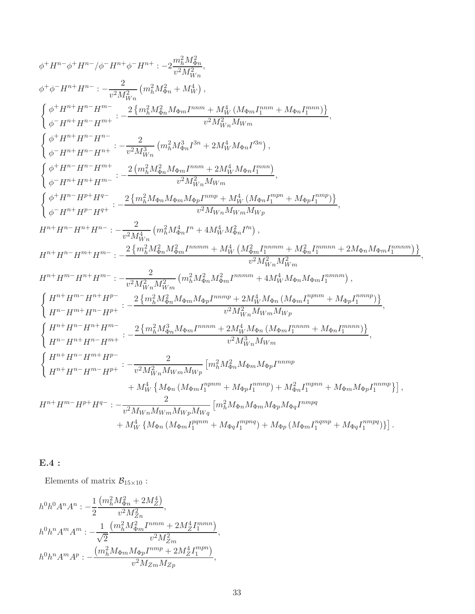$$
\begin{split} &\phi^+H^{n-}\phi^+H^{n-}/\phi^-H^{n+} \phi^-H^{n+}: -2\frac{m_h^2M_{\Phi n}^2}{v^2M_{Wn}^2},\\ &\phi^+ \phi^-H^{n+}H^{n-}: -\frac{2}{v^2M_{Wn}^2}\left(m_h^2M_{\Phi n}^2+M_W^4\right),\\ &\left\{\begin{aligned} &\phi^+H^{n+}H^{n-}H^{m-}: -\frac{2}{2}\underbrace{\{m_h^2M_{\Phi n}^2M_{\Phi n}H^{nm}+M_W^4(M_{\Phi m}I^{mm}+M_{\Phi n}I^{mm})\}}_{v^2M_{Wn}^2M_{Wm}^2}\right\},\\ &\left\{\begin{aligned} &\phi^+H^{n+}H^{n-}H^{n-}: -\frac{2}{v^2M_{Wn}^2}\left(m_h^2M_{\Phi n}^3I^{3n}+2M_W^4M_{\Phi n}I^{2n})\right),\\ &\left\{\begin{aligned} &\phi^+H^{n+}H^{n-}H^{n-}: -\frac{2}{v^2M_{Wn}^2}\left(m_h^2M_{\Phi n}^4I^{3n}+2M_W^4M_{\Phi n}I^{2n})\right),\\ &\left\{\begin{aligned} &\phi^+H^{n-}H^{n+}H^{n-}: -\frac{2}{v^2M_{Wn}^2}\left(m_h^2M_{\Phi n}H^{mm}+2M_W^4M_{\Phi n}I^{2nm})\right),\\ &\left\{\begin{aligned} &\phi^+H^{n-}H^{n+}H^{n-}: -\frac{2}{v^2M_{Wn}^2}\left(m_h^2M_{\Phi n}H^{n}+4M_W^4M_{\Phi n}^2I^{m})\right),\\ &v^2M_W^2M_W^2M_W^2\right\},\\ &H^{n+}H^{n-}H^{n+}H^{n-}: -\frac{2}{v^2M_{Wn}^2}\left(m_h^2M_{\Phi n}^4I^{n+}+4M_W^4M_{\Phi n}^2I^{n})\right),\\ &H^{n+}H^{n-}H^{n+}H^{n-}: -\frac{2}{v^2M_{Wn}^2}m_{Wm}^2+4M_W^4(M_{\Phi n}^4I^{n})\right),\\ &H^{n+}H^{n-}H^{n+}H^{n
$$

## E.4 :

Elements of matrix  $\mathcal{B}_{15\times 10}$ :

$$
h^{0}h^{0}A^{n}A^{n} : -\frac{1}{2} \frac{(m_{h}^{2}M_{\Phi n}^{2} + 2M_{Z}^{4})}{v^{2}M_{Zn}^{2}},
$$
  
\n
$$
h^{0}h^{n}A^{m}A^{m} : -\frac{1}{\sqrt{2}} \frac{(m_{h}^{2}M_{\Phi m}^{2}I^{mmn} + 2M_{Z}^{4}I^{mmn}_{1})}{v^{2}M_{Zm}^{2}},
$$
  
\n
$$
h^{0}h^{n}A^{m}A^{p} : -\frac{(m_{h}^{2}M_{\Phi m}M_{\Phi p}I^{mmp} + 2M_{Z}^{4}I^{mmn}_{1})}{v^{2}M_{Zm}M_{Zp}},
$$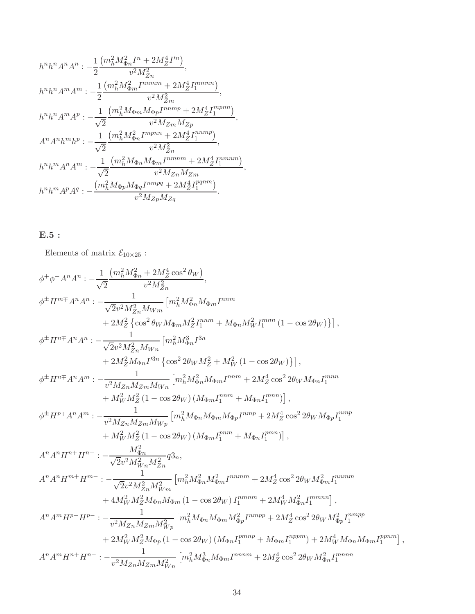$$
h^{n}h^{n}A^{n}A^{n} : -\frac{1}{2} \frac{(m_{h}^{2}M_{\Phi n}^{2}I^{n} + 2M_{Z}^{4}I^{m})}{v^{2}M_{Zn}^{2}},
$$
  
\n
$$
h^{n}h^{n}A^{m}A^{m} : -\frac{1}{2} \frac{(m_{h}^{2}M_{\Phi m}^{2}I^{n n m m} + 2M_{Z}^{4}I_{1}^{m m n n})}{v^{2}M_{Zm}^{2}},
$$
  
\n
$$
h^{n}h^{n}A^{m}A^{p} : -\frac{1}{\sqrt{2}} \frac{(m_{h}^{2}M_{\Phi m}M_{\Phi p}I^{n n m p} + 2M_{Z}^{4}I_{1}^{m p n n})}{v^{2}M_{Zm}M_{Zp}},
$$
  
\n
$$
A^{n}A^{n}h^{m}h^{p} : -\frac{1}{\sqrt{2}} \frac{(m_{h}^{2}M_{\Phi n}I^{m p n} + 2M_{Z}^{4}I_{1}^{n n n p})}{v^{2}M_{Zn}^{2}},
$$
  
\n
$$
h^{n}h^{m}A^{n}A^{m} : -\frac{1}{\sqrt{2}} \frac{(m_{h}^{2}M_{\Phi n}M_{\Phi m}I^{n m n m} + 2M_{Z}^{4}I_{1}^{n m n m})}{v^{2}M_{Zn}M_{Zm}},
$$
  
\n
$$
h^{n}h^{m}A^{p}A^{q} : -\frac{(m_{h}^{2}M_{\Phi p}M_{\Phi q}I^{n m p q} + 2M_{Z}^{4}I_{1}^{p q n m})}{v^{2}M_{Zp}M_{Zq}}.
$$

## E.5 :

Elements of matrix  $\mathcal{E}_{10\times25}$  :

$$
\begin{split} \phi^+\phi^-A^nA^n&:-\frac{1}{\sqrt{2}}\frac{(m_h^2M_{\Phi n}^2+2M_Z^4\cos^2\theta_W)}{v^2M_{Zn}^2},\\ \phi^{\pm}H^{m\mp}A^nA^n&:-\frac{1}{\sqrt{2}v^2M_{Zn}^2M_{Wm}}\left[m_h^2M_{\Phi n}^2M_{\Phi n}T^{nmn}\\ &+2M_Z^2\left\{\cos^2\theta_WM_{\Phi m}M_Z^2I_1^{mm}+M_{\Phi n}M_W^2I_1^{mmn}\left(1-\cos2\theta_W\right)\right\}\right],\\ \phi^{\pm}H^{n\mp}A^nA^n&:-\frac{1}{\sqrt{2}v^2M_{Zn}^2M_{Wn}}\left[m_h^2M_{\Phi n}^3I^{3n}\\ &+2M_Z^2M_{\Phi n}I'^{3n}\left\{\cos^22\theta_WM_Z^2+M_W^2\left(1-\cos2\theta_W\right)\right\}\right],\\ \phi^{\pm}H^{n\mp}A^nA^m&:-\frac{1}{v^2M_{Zn}M_{Zm}M_{Wn}}\left[m_h^2M_{\Phi n}^2M_{\Phi m}I^{mm}+2M_Z^4\cos^22\theta_WM_{\Phi n}I_1^{mmn}\\ &+M_W^2M_Z^2\left(1-\cos2\theta_W\right)\left(M_{\Phi m}I_1^{mm}+M_{\Phi n}I_1^{mm}\right)\right],\\ \phi^{\pm}H^{p\mp}A^nA^m&:-\frac{1}{v^2M_{Zn}M_{Zm}M_{Wp}}\left[m_h^2M_{\Phi n}M_{\Phi m}M_{\Phi p}I^{mmp}+2M_Z^4\cos^22\theta_WM_{\Phi p}I_1^{mmn}\\ &+M_W^2M_Z^2\left(1-\cos2\theta_W\right)\left(M_{\Phi m}I_1^{mm}+M_{\Phi n}I_1^{mm}\right)\right],\\ A^nA^nH^{n\pm}H^n&:-\frac{M_{\Phi n}^2}{\sqrt{2}v^2M_{Wn}^2M_{Zm}^2}q3n,\\ A^nA^nH^{m\pm}H^m&:-\frac{1}{\sqrt{2}v^2M_{Zn}^2M_{Wm}^2}\left[m_h^2M_{\Phi n}M_{\Phi m}I_1^{mmm}+2M_Z^4\cos^22\theta_WM
$$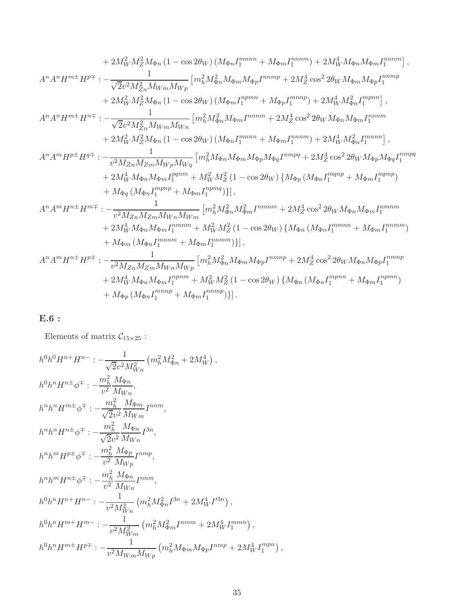$$
+2M_{W}^{2}M_{2}^{2}M_{\Phi n} (1-\cos 2\theta_{W}) (M_{\Phi n}I_{1}^{mnnn}+M_{\Phi m}I_{1}^{nnnm})+2M_{W}^{4}M_{\Phi n}M_{\Phi n}I_{1}^{nnnm}) ,
$$
  
\n
$$
A^{n}A^{n}H^{m\pm}H^{p\mp}: -\frac{1}{\sqrt{2v^{2}M_{Zn}^{2}M_{Wm}M_{Wp}}} [m_{h}^{2}M_{\Phi n}^{2}M_{\Phi m}M_{\Phi p}I^{nnmp}+2M_{Z}^{4}\cos^{2}2\theta_{W}M_{\Phi m}M_{\Phi p}I_{1}^{nnmp} \\ +2M_{W}^{2}M_{Z}^{2}M_{\Phi n} (1-\cos 2\theta_{W}) (M_{\Phi m}I_{1}^{npmn}+M_{\Phi p}I_{1}^{mnnp})+2M_{W}^{4}M_{\Phi n}^{2}I_{1}^{mpnn}] ,
$$
  
\n
$$
A^{n}A^{n}H^{m\pm}H^{n\mp}: -\frac{1}{\sqrt{2v^{2}M_{Zn}^{2}M_{Wm}M_{Wn}}} [m_{h}^{2}M_{\Phi n}^{2}M_{\Phi m}I^{nnnm}+2M_{Z}^{4}\cos^{2}2\theta_{W}M_{\Phi n}M_{\Phi m}I_{1}^{nnnnn} \\ +2M_{W}^{2}M_{Z}^{2}M_{\Phi n} (1-\cos 2\theta_{W}) (M_{\Phi n}I_{1}^{mnnn}+M_{\Phi m}I_{1}^{nnnm})+2M_{W}^{4}M_{\Phi n}^{2}I_{1}^{mnnn}] ,
$$
  
\n
$$
A^{n}A^{m}H^{p\pm}H^{q\mp}: -\frac{1}{v^{2}M_{Zn}M_{Zm}M_{Wp}M_{Wq}} [m_{h}^{2}M_{\Phi n}M_{\Phi p}M_{\Phi q}I^{mmpq}+2M_{Z}^{2}\cos^{2}2\theta_{W}M_{\Phi p}M_{\Phi q}I_{1}^{mnnp} \\ +M_{\Phi q} (M_{\Phi n}I_{1}^{nppn}+M_{\Phi m}I_{1}^{2}M_{\Phi m}^{2}M_{\Phi m}I^{nnnm}+2M_{Z}^{2}\cos^{2}2\theta_{W}M_{
$$

# E.6 :

Elements of matrix  $\mathcal{C}_{15\times25}$  :

$$
h^{0}h^{0}H^{n+}H^{n-}: -\frac{1}{\sqrt{2}v^{2}M_{Wn}^{2}}(m_{h}^{2}M_{\Phi n}^{2} + 2M_{W}^{4}),
$$
  
\n
$$
h^{0}h^{n}H^{n\pm}\phi^{\mp}: -\frac{m_{h}^{2}}{v^{2}}\frac{M_{\Phi n}}{M_{Wn}},
$$
  
\n
$$
h^{n}h^{n}H^{m\pm}\phi^{\mp}: -\frac{m_{h}^{2}}{\sqrt{2}v^{2}}\frac{M_{\Phi m}}{M_{Wm}}I^{nnm},
$$
  
\n
$$
h^{n}h^{n}H^{n\pm}\phi^{\mp}: -\frac{m_{h}^{2}}{\sqrt{2}v^{2}}\frac{M_{\Phi n}}{M_{Wn}}I^{3n},
$$
  
\n
$$
h^{n}h^{m}H^{p\pm}\phi^{\mp}: -\frac{m_{h}^{2}}{v^{2}}\frac{M_{\Phi p}}{M_{Wp}}I^{nnm},
$$
  
\n
$$
h^{n}h^{m}H^{n\pm}\phi^{\mp}: -\frac{m_{h}^{2}}{v^{2}}\frac{M_{\Phi n}}{M_{Wn}}I^{nnm},
$$
  
\n
$$
h^{0}h^{n}H^{n+}H^{n-}: -\frac{1}{v^{2}M_{Wn}^{2}}(m_{h}^{2}M_{\Phi n}^{2}I^{3n} + 2M_{W}^{4}I^{3n}),
$$
  
\n
$$
h^{0}h^{n}H^{m+}H^{m-}: -\frac{1}{v^{2}M_{Wm}^{2}}(m_{h}^{2}M_{\Phi m}^{2}I^{nmm} + 2M_{W}^{4}I_{1}^{nmn}),
$$
  
\n
$$
h^{0}h^{n}H^{m\pm}H^{p\mp}: -\frac{1}{v^{2}M_{Wm}M_{Wp}}(m_{h}^{2}M_{\Phi m}M_{\Phi p}I^{nmp} + 2M_{W}^{4}I_{1}^{mpn}),
$$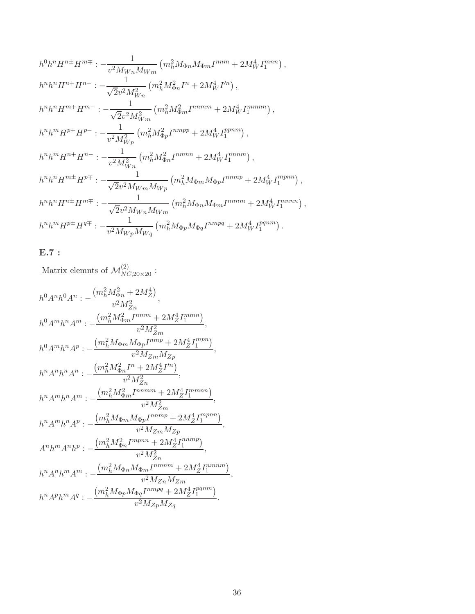$$
h^{0}h^{n}H^{n\pm}H^{m\mp} : -\frac{1}{v^{2}M_{Wn}M_{Wm}}\left(m_{h}^{2}M_{\Phi n}M_{\Phi m}I^{nnm} + 2M_{W}^{4}I_{1}^{mnn}\right),
$$
  
\n
$$
h^{n}h^{n}H^{n+}H^{n-} : -\frac{1}{\sqrt{2}v^{2}M_{Wn}^{2}}\left(m_{h}^{2}M_{\Phi n}^{2}I^{n} + 2M_{W}^{4}I^{n}\right),
$$
  
\n
$$
h^{n}h^{n}H^{m+}H^{m-} : -\frac{1}{\sqrt{2}v^{2}M_{Wm}^{2}}\left(m_{h}^{2}M_{\Phi m}^{2}I^{nnnm} + 2M_{W}^{4}I_{1}^{mmnn}\right),
$$
  
\n
$$
h^{n}h^{m}H^{p+}H^{p-} : -\frac{1}{v^{2}M_{Wp}^{2}}\left(m_{h}^{2}M_{\Phi p}^{2}I^{nnmp} + 2M_{W}^{4}I_{1}^{ppnm}\right),
$$
  
\n
$$
h^{n}h^{m}H^{n+}H^{n-} : -\frac{1}{v^{2}M_{Wn}^{2}}\left(m_{h}^{2}M_{\Phi n}^{2}I^{nnmn} + 2M_{W}^{4}I_{1}^{nnnm}\right),
$$
  
\n
$$
h^{n}h^{n}H^{m\pm}H^{p\mp} : -\frac{1}{\sqrt{2}v^{2}M_{Wm}M_{Wp}}\left(m_{h}^{2}M_{\Phi m}M_{\Phi p}I^{nnnm} + 2M_{W}^{4}I_{1}^{mnnn}\right),
$$
  
\n
$$
h^{n}h^{n}H^{n\pm}H^{m\mp} : -\frac{1}{\sqrt{2}v^{2}M_{Wn}M_{Wm}}\left(m_{h}^{2}M_{\Phi n}M_{\Phi m}I^{nnnm} + 2M_{W}^{4}I_{1}^{mnnn}\right),
$$
  
\n
$$
h^{n}h^{m}H^{p\pm}H^{q\mp} : -\frac{1}{v^{2}M_{Wp}M_{Wq}}\left(m_{h}^{2}M_{\Phi p}M_{\Phi q}I^{nnnpq} + 2M_{W}^{4}I
$$

#### E.7 :

Matrix elemnts of  $\mathcal{M}_{NC,20\times 20}^{(2)}$ :  $h^0A^nh^0A^n:$  –  $\left(m_h^2 M_{\Phi n}^2 + 2 M_Z^4\right)$  $\frac{\Psi n}{v^2 M_{Zn}^2},$ Zn  $h^0 A^m h^n A^m$  :  $\left(m_h^2 M_{\Phi m}^2 I^{mmm} + 2 M_Z^4 I^{mmn}_1\right)$  $\frac{1}{v^2 M_{Zm}^2}$ , Zm  $h^0 A^m h^n A^p$  :  $\left(m_h^2 M_{\Phi m} M_{\Phi p} I^{nmp} + 2 M_Z^4 I_1^{mpn}\right.$  $\binom{mpn}{1}$  $\frac{v^2 M_{Zm} M_{Zp}}{v^2 M_{Zm} M_{Zp}},$  $h^n A^n h^n A^n$  :  $\left(m_h^2 M_{\Phi n}^2 I^n + 2 M_Z^4 I'^n\right)$  $\frac{m^2}{v^2 M_{Z_n}^2},$ Zn  $h^n A^m h^n A^m$  : - $\left(m_h^2 M_{\Phi m}^2 I^{nnmm} + 2 M_Z^4 I_1^{mmnn} \right)$  $\frac{v^2 M_{Zm}^2}{(v^2 M_{Zm}^2)},$ Zm  $h^n A^m h^n A^p: \bigl(m_h^2 M_{\Phi m} M_{\Phi p} I^{nnmp} + 2 M_Z^4 I_1^{mpnn}$  $\binom{mpnn}{1}$  $\frac{v^2 M_{Zm} M_{Zp}}{v^2 M_{Zm} M_{Zp}},$  $A^n h^m A^n h^p: \left(m_h^2 M_{\Phi n}^2 I^{mpnn} + 2 M_Z^4 I_1^{nnmp}\right.$  $\binom{n n m p}{1}$  $\frac{1}{v^2 M_{Z_n}^2}$ , Zn  $h^n A^n h^m A^m$  :  $\left(m_h^2 M_{\Phi n} M_{\Phi m} I^{nmnm} + 2 M_Z^4 I_1^{nmnm} \right)$  $\frac{v^2 M_{Zn} M_{Zm}}{v^2 M_{Zn} M_{Zm}},$  $h^n A^p h^m A^q$  :  $\left(m_h^2 M_{\Phi p} M_{\Phi q} I^{nmpq} + 2 M_Z^4 I_1^{pqnm}\right.$  $\binom{pqnm}{1}$  $\frac{q}{v^2 M_{Zp} M_{Zq}}$ .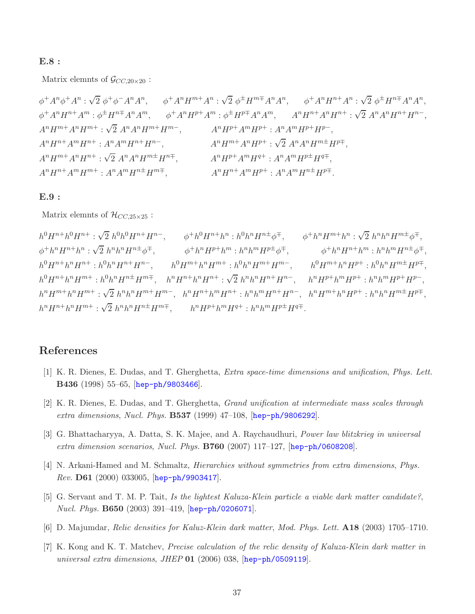#### E.8 :

Matrix elemnts of  $\mathcal{G}_{CC,20\times20}$ :

 $\phi^+ A^n \phi^+ A^n : \sqrt{2} \phi^+ \phi^- A^n A^n$ ,  $\phi^+ A^n H^{m+} A^n : \sqrt{2} \phi^{\pm} H^{m \mp} A^n A^n$ ,  $\phi^+ A^n H^{n+} A^n : \sqrt{2} \phi^{\pm} H^{n \mp} A^n A^n$ ,  $\phi^+ A^n H^{n+} A^m : \phi^{\pm} H^{n\mp} A^n A^m, \qquad \phi^+ A^n H^{p+} A^m : \phi^{\pm} H^{p\mp} A^n A^m, \qquad A^n H^{n+} A^n H^{n+} : \sqrt{2} \ A^n A^n H^{n+} H^{n-}$  $A^{n}H^{m+}A^{n}H^{m+}$ :  $\sqrt{2} A^{n}A^{n}H^{m+}H^{m-}$ ,  $A^{n}H^{p+}A^{m}H^{p+}$ :  $A^{n}A^{m}H^{p+}H^{p-}$ ,  $A^n H^{n+} A^m H^{n+}$ :  $A^n A^m H^{n+} H$  $A^{n}H^{m+}A^{n}H^{p+}$ :  $\sqrt{2} A^{n}A^{n}H^{m\pm}H^{p\mp}$ ,  $A^n H^{m+} A^n H^{n+}$ :  $\sqrt{2} A^n A^n H^{m\pm} H$  $A^n H^{p+} A^m H^{q+} : A^n A^m H^{p\pm} H^{q\mp},$  $A^n H^{n+} A^m H^{m+} : A^n A^m H^{n+} H^{m+}$ ,  $A^n H$  $n+A^mH^{p+}:A^nA^mH^{n\pm}H^{p\mp}.$ 

#### E.9 :

Matrix elemnts of  $\mathcal{H}_{CC,25\times25}$ :

 $h^0H^{n+}h^0H^{n+}$ :  $\sqrt{2} h^0h^0H^{n+}H^{n-}$ ,  $\phi^+h^0H^{n+}h^n$ :  $h^0h^nH^{n\pm}\phi^{\mp}$ ,  $\phi^+h^nH^{m+}h^n$ :  $\sqrt{2} h^nh^nH^{m\pm}\phi^{\mp}$ ,  $\phi^+ h^n H^{n+} h^n : \sqrt{2} h^n h^n H^{n\pm} \phi^{\mp}$ ,  $\qquad \phi^+ h^n H^{p+} h^m : h^n h^m H^{p\pm} \phi^{\mp}$ ,  $\qquad \phi^+ h^n H^{n+} h^m : h^n h^m H^{n\pm} \phi^{\mp}$ ,  $h^0H^{n} + h^nH^{n+}$ :  $h^0h^nH^{n+}H^{n-}$ ,  $h^0H^{m} + h^nH^{m+}$ :  $h^0h^nH^{m+}H^{m-}$ ,  $h^0H^{m+}h$  $nH^{p+}: h^0h^nH^{m\pm}H^{p\mp},$  $h^0H^{n} + h^nH^{m+}$ ;  $h^0h^nH^{n+}H^{m+}$ ,  $h^nH^{n+}h^nH^{n+}$ ;  $\sqrt{2} h^nh^nH^{n+}H^{n-}$ ,  $h^nH^{p+}h^mH^{p+}$ ;  $h^nh^mH^{p+}H^{p-}$ ,  $h^{n}H^{m} + h^{n}H^{m+}$ :  $\sqrt{2} h^{n}h^{n}H^{m+}H^{m-}$ ,  $h^{n}H^{n+}h^{m}H^{n+}$ :  $h^{n}h^{m}H^{n+}H^{n-}$ ,  $h^{n}H^{m+}h^{n}H^{p+}$ :  $h^{n}h^{n}H^{m\pm}H^{p\mp}$ ,  $h^{n}H^{n+}h^{n}H^{m+}$ :  $\sqrt{2} h^{n}h^{n}H^{n\pm}H^{m\mp}$ ,  $h^{n}H^{p+}h^{m}H^{q+}$ :  $h^{n}h^{m}H^{p\pm}H^{q\mp}$ .

### <span id="page-36-0"></span>References

- [1] K. R. Dienes, E. Dudas, and T. Gherghetta, Extra space-time dimensions and unification, Phys. Lett. B436 (1998) 55–65, [[hep-ph/9803466](http://arxiv.org/abs/hep-ph/9803466)].
- <span id="page-36-1"></span>[2] K. R. Dienes, E. Dudas, and T. Gherghetta, Grand unification at intermediate mass scales through *extra dimensions, Nucl. Phys.*  $B537$  (1999) 47–108,  $[hep-ph/9806292]$  $[hep-ph/9806292]$  $[hep-ph/9806292]$ .
- <span id="page-36-2"></span>[3] G. Bhattacharyya, A. Datta, S. K. Majee, and A. Raychaudhuri, Power law blitzkrieg in universal extra dimension scenarios, Nucl. Phys. B760 (2007) 117–127, [[hep-ph/0608208](http://arxiv.org/abs/hep-ph/0608208)].
- <span id="page-36-3"></span>[4] N. Arkani-Hamed and M. Schmaltz, Hierarchies without symmetries from extra dimensions, Phys. Rev. D61 (2000) 033005, [[hep-ph/9903417](http://arxiv.org/abs/hep-ph/9903417)].
- [5] G. Servant and T. M. P. Tait, Is the lightest Kaluza-Klein particle a viable dark matter candidate?, Nucl. Phys. B650 (2003) 391–419, [[hep-ph/0206071](http://arxiv.org/abs/hep-ph/0206071)].
- [6] D. Majumdar, Relic densities for Kaluz-Klein dark matter, Mod. Phys. Lett. A18 (2003) 1705–1710.
- [7] K. Kong and K. T. Matchev, Precise calculation of the relic density of Kaluza-Klein dark matter in universal extra dimensions, JHEP  $01$  (2006) 038,  $[hep-ph/0509119]$  $[hep-ph/0509119]$  $[hep-ph/0509119]$ .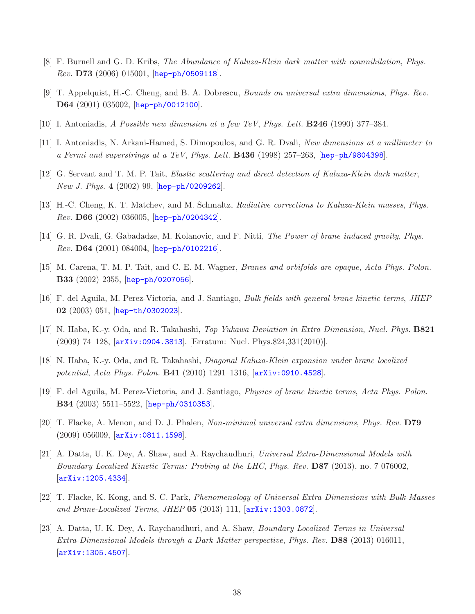- <span id="page-37-1"></span><span id="page-37-0"></span>[8] F. Burnell and G. D. Kribs, The Abundance of Kaluza-Klein dark matter with coannihilation, Phys.  $Rev.$  D73 (2006) 015001, [[hep-ph/0509118](http://arxiv.org/abs/hep-ph/0509118)].
- <span id="page-37-2"></span>[9] T. Appelquist, H.-C. Cheng, and B. A. Dobrescu, Bounds on universal extra dimensions, Phys. Rev. D64 (2001) 035002, [[hep-ph/0012100](http://arxiv.org/abs/hep-ph/0012100)].
- <span id="page-37-3"></span>[10] I. Antoniadis, A Possible new dimension at a few TeV, Phys. Lett. B246 (1990) 377–384.
- <span id="page-37-4"></span>[11] I. Antoniadis, N. Arkani-Hamed, S. Dimopoulos, and G. R. Dvali, New dimensions at a millimeter to a Fermi and superstrings at a TeV, Phys. Lett.  $\bf{B436}$  (1998) 257–263, [[hep-ph/9804398](http://arxiv.org/abs/hep-ph/9804398)].
- <span id="page-37-5"></span>[12] G. Servant and T. M. P. Tait, Elastic scattering and direct detection of Kaluza-Klein dark matter, *New J. Phys.*  $4 \ (2002) \ 99$ ,  $[hep-ph/0209262]$  $[hep-ph/0209262]$  $[hep-ph/0209262]$ .
- <span id="page-37-6"></span>[13] H.-C. Cheng, K. T. Matchev, and M. Schmaltz, Radiative corrections to Kaluza-Klein masses, Phys. Rev. D66 (2002) 036005, [[hep-ph/0204342](http://arxiv.org/abs/hep-ph/0204342)].
- [14] G. R. Dvali, G. Gabadadze, M. Kolanovic, and F. Nitti, *The Power of brane induced gravity, Phys.*  $Rev.$   $D64$   $(2001)$   $084004$ ,  $[hep-ph/0102216]$  $[hep-ph/0102216]$  $[hep-ph/0102216]$ .
- <span id="page-37-14"></span>[15] M. Carena, T. M. P. Tait, and C. E. M. Wagner, Branes and orbifolds are opaque, Acta Phys. Polon. B33 (2002) 2355, [[hep-ph/0207056](http://arxiv.org/abs/hep-ph/0207056)].
- <span id="page-37-8"></span>[16] F. del Aguila, M. Perez-Victoria, and J. Santiago, Bulk fields with general brane kinetic terms, JHEP 02 (2003) 051, [[hep-th/0302023](http://arxiv.org/abs/hep-th/0302023)].
- <span id="page-37-7"></span>[17] N. Haba, K.-y. Oda, and R. Takahashi, Top Yukawa Deviation in Extra Dimension, Nucl. Phys. B821  $(2009)$  74–128,  $[$ [arXiv:0904.3813](http://arxiv.org/abs/0904.3813)]. [Erratum: Nucl. Phys.824,331 $(2010)$ ].
- <span id="page-37-10"></span>[18] N. Haba, K.-y. Oda, and R. Takahashi, Diagonal Kaluza-Klein expansion under brane localized potential, Acta Phys. Polon. **B41** (2010) 1291–1316,  $\overline{arXiv:0910.4528}$  $\overline{arXiv:0910.4528}$  $\overline{arXiv:0910.4528}$ .
- <span id="page-37-11"></span>[19] F. del Aguila, M. Perez-Victoria, and J. Santiago, Physics of brane kinetic terms, Acta Phys. Polon. B34 (2003) 5511–5522, [[hep-ph/0310353](http://arxiv.org/abs/hep-ph/0310353)].
- <span id="page-37-9"></span>[20] T. Flacke, A. Menon, and D. J. Phalen, Non-minimal universal extra dimensions, Phys. Rev. D79 (2009) 056009, [[arXiv:0811.1598](http://arxiv.org/abs/0811.1598)].
- [21] A. Datta, U. K. Dey, A. Shaw, and A. Raychaudhuri, Universal Extra-Dimensional Models with Boundary Localized Kinetic Terms: Probing at the LHC, Phys. Rev. D87 (2013), no. 7 076002, [[arXiv:1205.4334](http://arxiv.org/abs/1205.4334)].
- <span id="page-37-13"></span><span id="page-37-12"></span>[22] T. Flacke, K. Kong, and S. C. Park, Phenomenology of Universal Extra Dimensions with Bulk-Masses and Brane-Localized Terms, JHEP  $05$  (2013) 111,  $[\text{arXiv:1303.0872}]$  $[\text{arXiv:1303.0872}]$  $[\text{arXiv:1303.0872}]$ .
- [23] A. Datta, U. K. Dey, A. Raychaudhuri, and A. Shaw, Boundary Localized Terms in Universal Extra-Dimensional Models through a Dark Matter perspective, Phys. Rev. D88 (2013) 016011, [[arXiv:1305.4507](http://arxiv.org/abs/1305.4507)].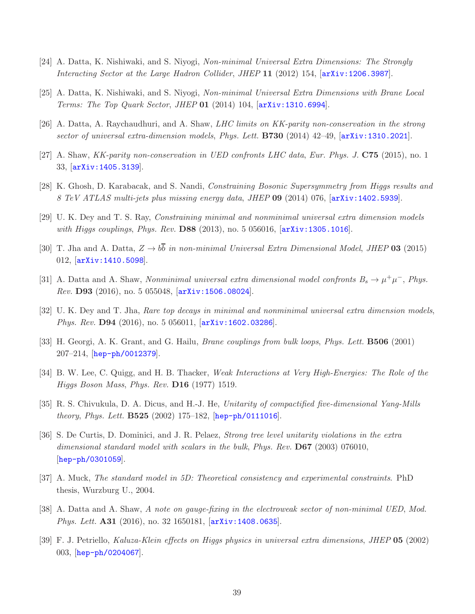- <span id="page-38-11"></span><span id="page-38-0"></span>[24] A. Datta, K. Nishiwaki, and S. Niyogi, Non-minimal Universal Extra Dimensions: The Strongly Interacting Sector at the Large Hadron Collider, JHEP 11 (2012) 154, [[arXiv:1206.3987](http://arxiv.org/abs/1206.3987)].
- [25] A. Datta, K. Nishiwaki, and S. Niyogi, Non-minimal Universal Extra Dimensions with Brane Local Terms: The Top Quark Sector, JHEP 01 (2014) 104, [[arXiv:1310.6994](http://arxiv.org/abs/1310.6994)].
- <span id="page-38-10"></span>[26] A. Datta, A. Raychaudhuri, and A. Shaw, LHC limits on KK-parity non-conservation in the strong sector of universal extra-dimension models, Phys. Lett. **B730** (2014) 42-49,  $\left[$ [arXiv:1310.2021](http://arxiv.org/abs/1310.2021).
- <span id="page-38-1"></span>[27] A. Shaw, KK-parity non-conservation in UED confronts LHC data, Eur. Phys. J. C75 (2015), no. 1 33, [[arXiv:1405.3139](http://arxiv.org/abs/1405.3139)].
- <span id="page-38-2"></span>[28] K. Ghosh, D. Karabacak, and S. Nandi, Constraining Bosonic Supersymmetry from Higgs results and 8 TeV ATLAS multi-jets plus missing energy data, JHEP 09 (2014) 076, [[arXiv:1402.5939](http://arxiv.org/abs/1402.5939)].
- <span id="page-38-3"></span>[29] U. K. Dey and T. S. Ray, Constraining minimal and nonminimal universal extra dimension models with Higgs couplings, Phys. Rev. D88 (2013), no. 5 056016, [[arXiv:1305.1016](http://arxiv.org/abs/1305.1016)].
- <span id="page-38-4"></span>[30] T. Jha and A. Datta,  $Z \to b\overline{b}$  in non-minimal Universal Extra Dimensional Model, JHEP 03 (2015) 012, [[arXiv:1410.5098](http://arxiv.org/abs/1410.5098)].
- <span id="page-38-5"></span>[31] A. Datta and A. Shaw, Nonminimal universal extra dimensional model confronts  $B_s \to \mu^+ \mu^-$ , Phys.  $Rev.$  **D93** (2016), no. 5 055048,  $\left[$ [arXiv:1506.08024](http://arxiv.org/abs/1506.08024).
- <span id="page-38-6"></span>[32] U. K. Dey and T. Jha, Rare top decays in minimal and nonminimal universal extra dimension models, Phys. Rev. **D94** (2016), no. 5 056011,  $\left[\frac{\text{arXiv:1602.03286}}{2010}\right]$  $\left[\frac{\text{arXiv:1602.03286}}{2010}\right]$  $\left[\frac{\text{arXiv:1602.03286}}{2010}\right]$ .
- <span id="page-38-7"></span>[33] H. Georgi, A. K. Grant, and G. Hailu, Brane couplings from bulk loops, Phys. Lett. B506 (2001) 207–214, [[hep-ph/0012379](http://arxiv.org/abs/hep-ph/0012379)].
- <span id="page-38-8"></span>[34] B. W. Lee, C. Quigg, and H. B. Thacker, Weak Interactions at Very High-Energies: The Role of the Higgs Boson Mass, Phys. Rev. D16 (1977) 1519.
- <span id="page-38-9"></span>[35] R. S. Chivukula, D. A. Dicus, and H.-J. He, Unitarity of compactified five-dimensional Yang-Mills theory, Phys. Lett.  $B525$  (2002) 175-182,  $[hep-ph/0111016]$  $[hep-ph/0111016]$  $[hep-ph/0111016]$ .
- [36] S. De Curtis, D. Dominici, and J. R. Pelaez, Strong tree level unitarity violations in the extra dimensional standard model with scalars in the bulk, Phys. Rev. **D67** (2003) 076010, [[hep-ph/0301059](http://arxiv.org/abs/hep-ph/0301059)].
- <span id="page-38-13"></span><span id="page-38-12"></span>[37] A. Muck, The standard model in 5D: Theoretical consistency and experimental constraints. PhD thesis, Wurzburg U., 2004.
- <span id="page-38-14"></span>[38] A. Datta and A. Shaw, A note on gauge-fixing in the electroweak sector of non-minimal UED, Mod. Phys. Lett. **A31** (2016), no. 32 1650181,  $arXiv:1408.0635$ .
- [39] F. J. Petriello, Kaluza-Klein effects on Higgs physics in universal extra dimensions, JHEP 05 (2002) 003, [[hep-ph/0204067](http://arxiv.org/abs/hep-ph/0204067)].